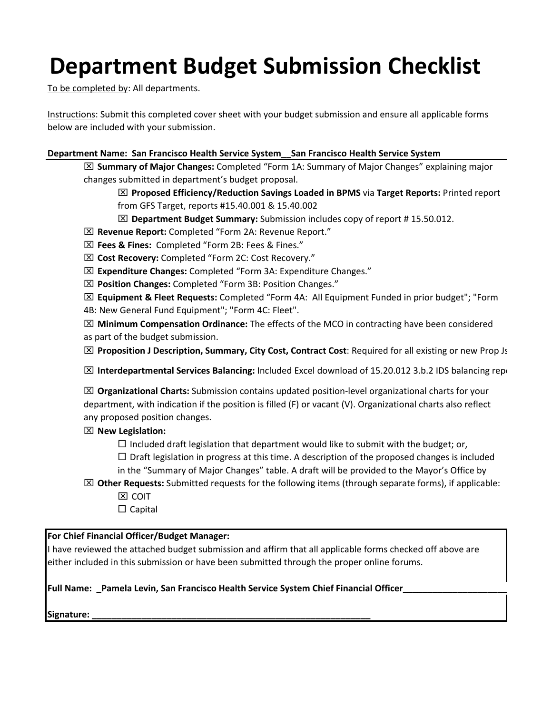# **Department Budget Submission Checklist**

To be completed by: All departments.

Instructions: Submit this completed cover sheet with your budget submission and ensure all applicable forms below are included with your submission.

## **Department Name: San Francisco Health Service System\_\_San Francisco Health Service System**

 **Summary of Major Changes:** Completed "Form 1A: Summary of Major Changes" explaining major changes submitted in department's budget proposal.

 **Proposed Efficiency/Reduction Savings Loaded in BPMS** via **Target Reports:** Printed report from GFS Target, reports #15.40.001 & 15.40.002

- **Department Budget Summary:** Submission includes copy of report # 15.50.012.
- **Revenue Report:** Completed "Form 2A: Revenue Report."
- **Fees & Fines:** Completed "Form 2B: Fees & Fines."
- **Cost Recovery:** Completed "Form 2C: Cost Recovery."
- **Expenditure Changes:** Completed "Form 3A: Expenditure Changes."
- **Position Changes:** Completed "Form 3B: Position Changes."
- **Equipment & Fleet Requests:** Completed "Form 4A: All Equipment Funded in prior budget"; "Form
- 4B: New General Fund Equipment"; "Form 4C: Fleet".

 **Minimum Compensation Ordinance:** The effects of the MCO in contracting have been considered as part of the budget submission.

**Proposition J Description, Summary, City Cost, Contract Cost**: Required for all existing or new Prop Js

**IMI** Interdepartmental Services Balancing: Included Excel download of 15.20.012 3.b.2 IDS balancing repo

 **Organizational Charts:** Submission contains updated position-level organizational charts for your department, with indication if the position is filled (F) or vacant (V). Organizational charts also reflect any proposed position changes.

## **New Legislation:**

 $\Box$  Included draft legislation that department would like to submit with the budget; or,

 $\Box$  Draft legislation in progress at this time. A description of the proposed changes is included in the "Summary of Major Changes" table. A draft will be provided to the Mayor's Office by

- **Other Requests:** Submitted requests for the following items (through separate forms), if applicable: **EX COIT** 
	- $\Box$  Capital

# **For Chief Financial Officer/Budget Manager:**

I have reviewed the attached budget submission and affirm that all applicable forms checked off above are either included in this submission or have been submitted through the proper online forums.

Full Name: \_Pamela Levin, San Francisco Health Service System Chief Financial Officer\_

**Signature: \_\_\_\_\_\_\_\_\_\_\_\_\_\_\_\_\_\_\_\_\_\_\_\_\_\_\_\_\_\_\_\_\_\_\_\_\_\_\_\_\_\_\_\_\_\_\_\_\_\_\_\_\_\_\_\_**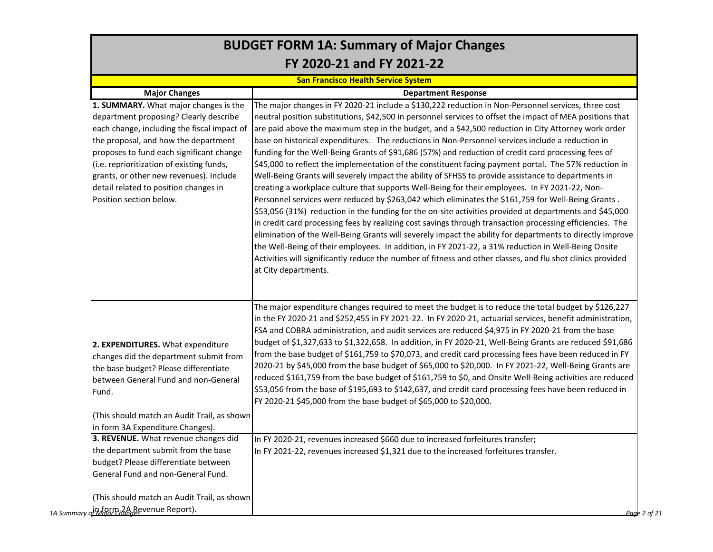|                                                                                                                                                                                                                                                                                                                                                                                | <b>BUDGET FORM 1A: Summary of Major Changes</b>                                                                                                                                                                                                                                                                                                                                                                                                                                                                                                                                                                                                                                                                                                                                                                                                                                                                                                                                                                                                                                                                                                                                                                                                                                                                                                                                                                                                                                                                                               |
|--------------------------------------------------------------------------------------------------------------------------------------------------------------------------------------------------------------------------------------------------------------------------------------------------------------------------------------------------------------------------------|-----------------------------------------------------------------------------------------------------------------------------------------------------------------------------------------------------------------------------------------------------------------------------------------------------------------------------------------------------------------------------------------------------------------------------------------------------------------------------------------------------------------------------------------------------------------------------------------------------------------------------------------------------------------------------------------------------------------------------------------------------------------------------------------------------------------------------------------------------------------------------------------------------------------------------------------------------------------------------------------------------------------------------------------------------------------------------------------------------------------------------------------------------------------------------------------------------------------------------------------------------------------------------------------------------------------------------------------------------------------------------------------------------------------------------------------------------------------------------------------------------------------------------------------------|
|                                                                                                                                                                                                                                                                                                                                                                                | FY 2020-21 and FY 2021-22                                                                                                                                                                                                                                                                                                                                                                                                                                                                                                                                                                                                                                                                                                                                                                                                                                                                                                                                                                                                                                                                                                                                                                                                                                                                                                                                                                                                                                                                                                                     |
|                                                                                                                                                                                                                                                                                                                                                                                | <b>San Francisco Health Service System</b>                                                                                                                                                                                                                                                                                                                                                                                                                                                                                                                                                                                                                                                                                                                                                                                                                                                                                                                                                                                                                                                                                                                                                                                                                                                                                                                                                                                                                                                                                                    |
| <b>Major Changes</b>                                                                                                                                                                                                                                                                                                                                                           | <b>Department Response</b>                                                                                                                                                                                                                                                                                                                                                                                                                                                                                                                                                                                                                                                                                                                                                                                                                                                                                                                                                                                                                                                                                                                                                                                                                                                                                                                                                                                                                                                                                                                    |
| 1. SUMMARY. What major changes is the<br>department proposing? Clearly describe<br>each change, including the fiscal impact of<br>the proposal, and how the department<br>proposes to fund each significant change<br>(i.e. reprioritization of existing funds,<br>grants, or other new revenues). Include<br>detail related to position changes in<br>Position section below. | The major changes in FY 2020-21 include a \$130,222 reduction in Non-Personnel services, three cost<br>neutral position substitutions, \$42,500 in personnel services to offset the impact of MEA positions that<br>are paid above the maximum step in the budget, and a \$42,500 reduction in City Attorney work order<br>base on historical expenditures. The reductions in Non-Personnel services include a reduction in<br>funding for the Well-Being Grants of \$91,686 (57%) and reduction of credit card processing fees of<br>\$45,000 to reflect the implementation of the constituent facing payment portal. The 57% reduction in<br>Well-Being Grants will severely impact the ability of SFHSS to provide assistance to departments in<br>creating a workplace culture that supports Well-Being for their employees. In FY 2021-22, Non-<br>Personnel services were reduced by \$263,042 which eliminates the \$161,759 for Well-Being Grants.<br>\$53,056 (31%) reduction in the funding for the on-site activities provided at departments and \$45,000<br>in credit card processing fees by realizing cost savings through transaction processing efficiencies. The<br>elimination of the Well-Being Grants will severely impact the ability for departments to directly improve<br>the Well-Being of their employees. In addition, in FY 2021-22, a 31% reduction in Well-Being Onsite<br>Activities will significantly reduce the number of fitness and other classes, and flu shot clinics provided<br>at City departments. |
| 2. EXPENDITURES. What expenditure<br>changes did the department submit from<br>the base budget? Please differentiate<br>between General Fund and non-General<br>Fund.                                                                                                                                                                                                          | The major expenditure changes required to meet the budget is to reduce the total budget by \$126,227<br>in the FY 2020-21 and \$252,455 in FY 2021-22. In FY 2020-21, actuarial services, benefit administration,<br>FSA and COBRA administration, and audit services are reduced \$4,975 in FY 2020-21 from the base<br>budget of \$1,327,633 to \$1,322,658. In addition, in FY 2020-21, Well-Being Grants are reduced \$91,686<br>from the base budget of \$161,759 to \$70,073, and credit card processing fees have been reduced in FY<br>2020-21 by \$45,000 from the base budget of \$65,000 to \$20,000. In FY 2021-22, Well-Being Grants are<br>reduced \$161,759 from the base budget of \$161,759 to \$0, and Onsite Well-Being activities are reduced<br>\$53,056 from the base of \$195,693 to \$142,637, and credit card processing fees have been reduced in<br>FY 2020-21 \$45,000 from the base budget of \$65,000 to \$20,000.                                                                                                                                                                                                                                                                                                                                                                                                                                                                                                                                                                                              |
| (This should match an Audit Trail, as shown<br>in form 3A Expenditure Changes).                                                                                                                                                                                                                                                                                                |                                                                                                                                                                                                                                                                                                                                                                                                                                                                                                                                                                                                                                                                                                                                                                                                                                                                                                                                                                                                                                                                                                                                                                                                                                                                                                                                                                                                                                                                                                                                               |
| 3. REVENUE. What revenue changes did<br>the department submit from the base<br>budget? Please differentiate between<br>General Fund and non-General Fund.                                                                                                                                                                                                                      | In FY 2020-21, revenues increased \$660 due to increased forfeitures transfer;<br>In FY 2021-22, revenues increased \$1,321 due to the increased forfeitures transfer.                                                                                                                                                                                                                                                                                                                                                                                                                                                                                                                                                                                                                                                                                                                                                                                                                                                                                                                                                                                                                                                                                                                                                                                                                                                                                                                                                                        |
| (This should match an Audit Trail, as shown<br>1A Summary dt Mbgrn 2A Revenue Report).                                                                                                                                                                                                                                                                                         | Page 2 of 21                                                                                                                                                                                                                                                                                                                                                                                                                                                                                                                                                                                                                                                                                                                                                                                                                                                                                                                                                                                                                                                                                                                                                                                                                                                                                                                                                                                                                                                                                                                                  |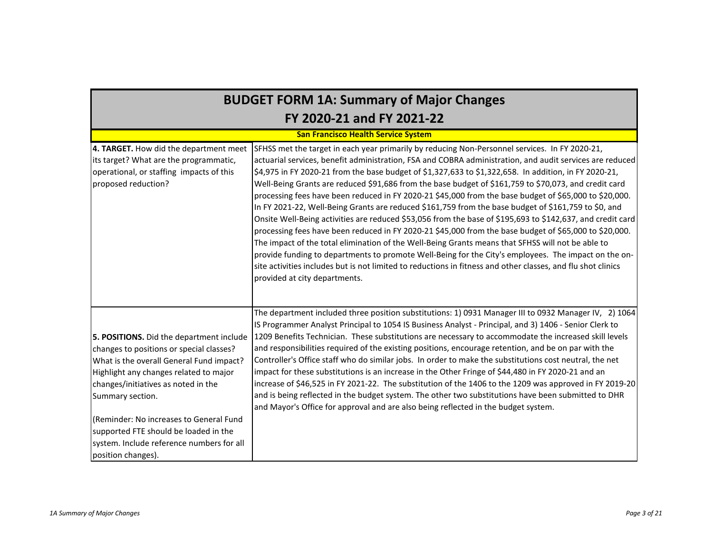# **BUDGET FORM 1A: Summary of Major Changes FY 2020-21 and FY 2021-22**

#### **San Francisco Health Service System**

| 4. TARGET. How did the department meet    | SFHSS met the target in each year primarily by reducing Non-Personnel services. In FY 2020-21,               |
|-------------------------------------------|--------------------------------------------------------------------------------------------------------------|
| its target? What are the programmatic,    | actuarial services, benefit administration, FSA and COBRA administration, and audit services are reduced     |
| operational, or staffing impacts of this  | \$4,975 in FY 2020-21 from the base budget of \$1,327,633 to \$1,322,658. In addition, in FY 2020-21,        |
| proposed reduction?                       | Well-Being Grants are reduced \$91,686 from the base budget of \$161,759 to \$70,073, and credit card        |
|                                           | processing fees have been reduced in FY 2020-21 \$45,000 from the base budget of \$65,000 to \$20,000.       |
|                                           | In FY 2021-22, Well-Being Grants are reduced \$161,759 from the base budget of \$161,759 to \$0, and         |
|                                           | Onsite Well-Being activities are reduced \$53,056 from the base of \$195,693 to \$142,637, and credit card   |
|                                           | processing fees have been reduced in FY 2020-21 \$45,000 from the base budget of \$65,000 to \$20,000.       |
|                                           | The impact of the total elimination of the Well-Being Grants means that SFHSS will not be able to            |
|                                           | provide funding to departments to promote Well-Being for the City's employees. The impact on the on-         |
|                                           | site activities includes but is not limited to reductions in fitness and other classes, and flu shot clinics |
|                                           | provided at city departments.                                                                                |
|                                           |                                                                                                              |
|                                           |                                                                                                              |
|                                           | The department included three position substitutions: 1) 0931 Manager III to 0932 Manager IV, 2) 1064        |
|                                           | IS Programmer Analyst Principal to 1054 IS Business Analyst - Principal, and 3) 1406 - Senior Clerk to       |
| 5. POSITIONS. Did the department include  | 1209 Benefits Technician. These substitutions are necessary to accommodate the increased skill levels        |
| changes to positions or special classes?  | and responsibilities required of the existing positions, encourage retention, and be on par with the         |
| What is the overall General Fund impact?  | Controller's Office staff who do similar jobs. In order to make the substitutions cost neutral, the net      |
| Highlight any changes related to major    | impact for these substitutions is an increase in the Other Fringe of \$44,480 in FY 2020-21 and an           |
| changes/initiatives as noted in the       | increase of \$46,525 in FY 2021-22. The substitution of the 1406 to the 1209 was approved in FY 2019-20      |
| Summary section.                          | and is being reflected in the budget system. The other two substitutions have been submitted to DHR          |
|                                           | and Mayor's Office for approval and are also being reflected in the budget system.                           |
| (Reminder: No increases to General Fund   |                                                                                                              |
| supported FTE should be loaded in the     |                                                                                                              |
| system. Include reference numbers for all |                                                                                                              |
| position changes).                        |                                                                                                              |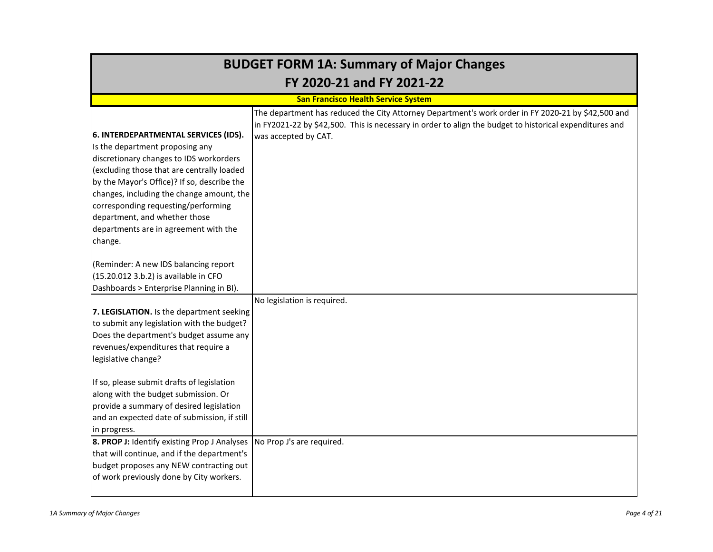| <b>BUDGET FORM 1A: Summary of Major Changes</b>                                                                                                                                                                                                                                                                                                                                          |                                                                                                                                                                                                                                       |  |  |  |  |  |  |  |  |  |  |  |
|------------------------------------------------------------------------------------------------------------------------------------------------------------------------------------------------------------------------------------------------------------------------------------------------------------------------------------------------------------------------------------------|---------------------------------------------------------------------------------------------------------------------------------------------------------------------------------------------------------------------------------------|--|--|--|--|--|--|--|--|--|--|--|
|                                                                                                                                                                                                                                                                                                                                                                                          | FY 2020-21 and FY 2021-22                                                                                                                                                                                                             |  |  |  |  |  |  |  |  |  |  |  |
|                                                                                                                                                                                                                                                                                                                                                                                          | <b>San Francisco Health Service System</b>                                                                                                                                                                                            |  |  |  |  |  |  |  |  |  |  |  |
| 6. INTERDEPARTMENTAL SERVICES (IDS).<br>Is the department proposing any<br>discretionary changes to IDS workorders<br>(excluding those that are centrally loaded<br>by the Mayor's Office)? If so, describe the<br>changes, including the change amount, the<br>corresponding requesting/performing<br>department, and whether those<br>departments are in agreement with the<br>change. | The department has reduced the City Attorney Department's work order in FY 2020-21 by \$42,500 and<br>in FY2021-22 by \$42,500. This is necessary in order to align the budget to historical expenditures and<br>was accepted by CAT. |  |  |  |  |  |  |  |  |  |  |  |
| (Reminder: A new IDS balancing report<br>(15.20.012 3.b.2) is available in CFO<br>Dashboards > Enterprise Planning in BI).<br>7. LEGISLATION. Is the department seeking<br>to submit any legislation with the budget?<br>Does the department's budget assume any<br>revenues/expenditures that require a<br>legislative change?                                                          | No legislation is required.                                                                                                                                                                                                           |  |  |  |  |  |  |  |  |  |  |  |
| If so, please submit drafts of legislation<br>along with the budget submission. Or<br>provide a summary of desired legislation<br>and an expected date of submission, if still<br>in progress.<br>8. PROP J: Identify existing Prop J Analyses No Prop J's are required.                                                                                                                 |                                                                                                                                                                                                                                       |  |  |  |  |  |  |  |  |  |  |  |
| that will continue, and if the department's<br>budget proposes any NEW contracting out<br>of work previously done by City workers.                                                                                                                                                                                                                                                       |                                                                                                                                                                                                                                       |  |  |  |  |  |  |  |  |  |  |  |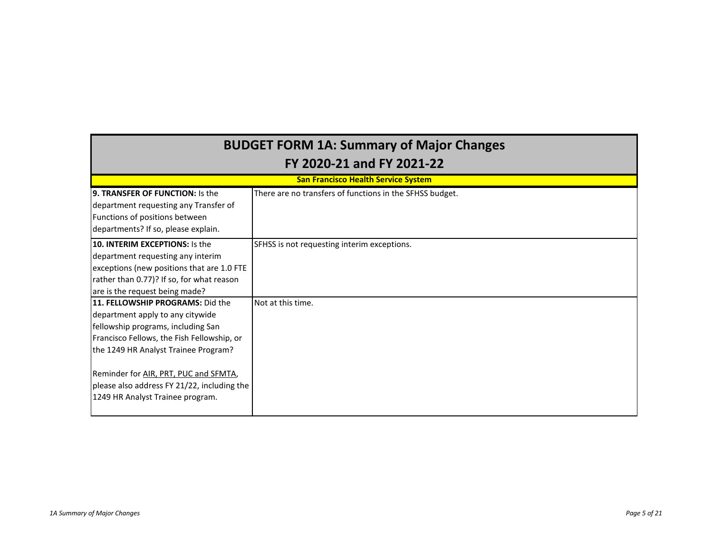| <b>BUDGET FORM 1A: Summary of Major Changes</b>                                                                                                                                                                                                                                                                              |                                                          |  |  |  |  |  |  |  |  |  |  |  |  |
|------------------------------------------------------------------------------------------------------------------------------------------------------------------------------------------------------------------------------------------------------------------------------------------------------------------------------|----------------------------------------------------------|--|--|--|--|--|--|--|--|--|--|--|--|
|                                                                                                                                                                                                                                                                                                                              | FY 2020-21 and FY 2021-22                                |  |  |  |  |  |  |  |  |  |  |  |  |
|                                                                                                                                                                                                                                                                                                                              | <b>San Francisco Health Service System</b>               |  |  |  |  |  |  |  |  |  |  |  |  |
| <b>9. TRANSFER OF FUNCTION: Is the</b><br>department requesting any Transfer of<br>Functions of positions between<br>departments? If so, please explain.                                                                                                                                                                     | There are no transfers of functions in the SFHSS budget. |  |  |  |  |  |  |  |  |  |  |  |  |
| 10. INTERIM EXCEPTIONS: Is the<br>department requesting any interim<br>exceptions (new positions that are 1.0 FTE<br>rather than 0.77)? If so, for what reason<br>are is the request being made?                                                                                                                             | SFHSS is not requesting interim exceptions.              |  |  |  |  |  |  |  |  |  |  |  |  |
| 11. FELLOWSHIP PROGRAMS: Did the<br>department apply to any citywide<br>fellowship programs, including San<br>Francisco Fellows, the Fish Fellowship, or<br>the 1249 HR Analyst Trainee Program?<br>Reminder for AIR, PRT, PUC and SFMTA,<br>please also address FY 21/22, including the<br>1249 HR Analyst Trainee program. | Not at this time.                                        |  |  |  |  |  |  |  |  |  |  |  |  |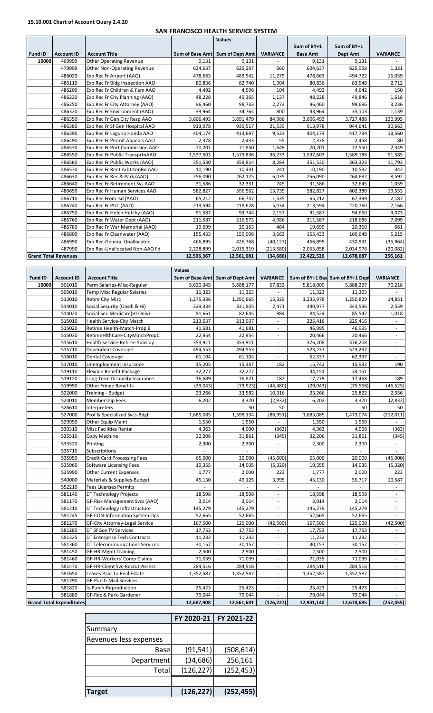## **15.10.001 Chart of Account Query 2.4.20**

#### **SAN FRANCISCO HEALTH SERVICE SYSTEM**

|                |                             |                                    |                 | <b>Values</b>   |                 |                 |             |                 |
|----------------|-----------------------------|------------------------------------|-----------------|-----------------|-----------------|-----------------|-------------|-----------------|
|                |                             |                                    |                 |                 |                 | Sum of BY+1     | Sum of BY+1 |                 |
| <b>Fund ID</b> | <b>Account ID</b>           | <b>Account Title</b>               | Sum of Base Amt | Sum of Dept Amt | <b>VARIANCE</b> | <b>Base Amt</b> | Dept Amt    | <b>VARIANCE</b> |
| 10000          | 469999                      | <b>Other Operating Revenue</b>     | 9,131           | 9,131           |                 | 9,131           | 9,131       |                 |
|                | 479999                      | <b>Other Non-Operating Revenue</b> | 624,637         | 625,297         | 660             | 624,637         | 625,958     | 1,321           |
|                | 486020                      | Exp Rec Fr Airport (AAO)           | 478,663         | 489,942         | 11,279          | 478,663         | 494,722     | 16,059          |
|                | 486110                      | Exp Rec Fr Bldg Inspection AAO     | 80,836          | 82,740          | 1,904           | 80,836          | 83,548      | 2,712           |
|                | 486200                      | Exp Rec Fr Children & Fam AAO      | 4,492           | 4,596           | 104             | 4,492           | 4.642       | 150             |
|                | 486230                      | Exp Rec Fr City Planning (AAO)     | 48,228          | 49,365          | 1,137           | 48,228          | 49,846      | 1,618           |
|                | 486250                      | Exp Rec Fr City Attorney (AAO)     | 96,460          | 98,733          | 2,273           | 96,460          | 99,696      | 3,236           |
|                | 486320                      | Exp Rec Fr Environment (AAO)       | 33,964          | 34,764          | 800             | 33,964          | 35,103      | 1,139           |
|                | 486350                      | Exp Rec Fr Gen City Resp AAO       | 3,606,493       | 3,691,479       | 84,986          | 3,606,493       | 3,727,488   | 120,995         |
|                | 486380                      | Exp Rec Fr Sf Gen Hospital AAO     | 913,978         | 935,517         | 21,539          | 913,978         | 944,641     | 30,663          |
|                | 486390                      | Exp Rec Fr Laguna Honda AAO        | 404,174         | 413,697         | 9,523           | 404,174         | 417,734     | 13,560          |
|                | 486490                      | Exp Rec Fr Permit Appeals AAO      | 2,378           | 2,433           | 55              | 2,378           | 2,458       | 80              |
|                | 486530                      | Exp Rec Fr Port Commission AAO     | 70,201          | 71,850          | 1,649           | 70,201          | 72,550      | 2,349           |
|                | 486550                      | Exp Rec Fr Public TransprtnAAO     | 1,537,603       | 1,573,836       | 36,233          | 1,537,603       | 1,589,188   | 51,585          |
|                | 486560                      | Exp Rec Fr Public Works (AAO)      | 351,530         | 359,814         | 8,284           | 351,530         | 363,323     | 11,793          |
|                | 486570                      | Exp Rec Fr Rent ArbtrtonBd AAO     | 10,190          | 10,431          | 241             | 10,190          | 10,532      | 342             |
|                | 486630                      | Exp Rec Fr Rec & Park (AAO)        | 256,090         | 262,125         | 6,035           | 256,090         | 264,682     | 8,592           |
|                | 486640                      | Exp Rec Fr Retirement Sys AAO      | 31,586          | 32,331          | 745             | 31,586          | 32,645      | 1,059           |
|                | 486690                      | Exp Rec Fr Human Services AAO      | 582,827         | 596,562         | 13,735          | 582,827         | 602,380     | 19,553          |
|                | 486710                      | Exp Rec From Isd (AAO)             | 65,212          | 66,747          | 1,535           | 65,212          | 67,399      | 2,187           |
|                | 486740                      | Exp Rec Fr PUC (AAO)               | 213,594         | 218,628         | 5,034           | 213,594         | 220,760     | 7,166           |
|                | 486750                      | Exp Rec Fr Hetch Hetchy (AAO)      | 91,587          | 93,744          | 2,157           | 91,587          | 94,660      | 3,073           |
|                | 486760                      | Exp Rec Fr Water Dept (AAO)        | 211,587         | 216,573         | 4,986           | 211,587         | 218,686     | 7,099           |
|                | 486780                      | Exp Rec Fr War Memorial (AAO)      | 19,699          | 20,163          | 464             | 19,699          | 20,360      | 661             |
|                | 486800                      | Exp Rec Fr Cleanwater (AAO)        | 155,433         | 159,096         | 3,663           | 155,433         | 160,648     | 5,215           |
|                | 486990                      | Exp Rec-General Unallocated        | 466,895         | 426,768         | (40, 127)       | 466,895         | 430,931     | (35, 964)       |
|                | 487990                      | Exp Rec-Unallocated Non-AAO Fd     | 2,228,899       | 2,015,319       | (213,580)       | 2,055,058       | 2,034,976   | (20,082)        |
|                | <b>Grand Total Revenues</b> |                                    | 12,596,367      | 12,561,681      | (34, 686)       | 12,422,526      | 12,678,687  | 256,161         |

|                |                                 |                                    | <b>Values</b> |                                 |                          |                |                                  |                          |
|----------------|---------------------------------|------------------------------------|---------------|---------------------------------|--------------------------|----------------|----------------------------------|--------------------------|
| <b>Fund ID</b> | <b>Account ID</b>               | <b>Account Title</b>               |               | Sum of Base Amt Sum of Dept Amt | <b>VARIANCE</b>          |                | Sum of BY+1 Bas Sum of BY+1 Dept | <b>VARIANCE</b>          |
| 10000          | 501010                          | Perm Salaries-Misc-Regular         | 5,620,345     | 5,688,177                       | 67,832                   | 5,818,009      | 5,888,227                        | 70,218                   |
|                | 505010                          | <b>Temp Misc Regular Salaries</b>  | 11,323        | 11,323                          |                          | 11,323         | 11,323                           |                          |
|                | 513010                          | <b>Retire City Misc</b>            | 1,275,336     | 1,290,665                       | 15,329                   | 1,235,978      | 1,250,829                        | 14,851                   |
|                | 514010                          | Social Security (Oasdi & Hi)       | 329,334       | 331,805                         | 2,471                    | 340,977        | 343,536                          | 2,559                    |
|                | 514020                          | Social Sec-Medicare(HI Only)       | 81,661        | 82,645                          | 984                      | 84,524         | 85,542                           | 1,018                    |
|                | 515010                          | <b>Health Service-City Match</b>   | 213,037       | 213,037                         | $\overline{a}$           | 225,416        | 225,416                          | $\omega$                 |
|                | 515020                          | Retiree Health-Match-Prop B        | 41,681        | 41,681                          | ÷,                       | 46,995         | 46,995                           | $\omega$                 |
|                | 515030                          | RetireeHlthCare-CityMatchPropC     | 22,954        | 22,954                          | $\sim$                   | 20,466         | 20,466                           | $\blacksquare$           |
|                | 515610                          | Health Service-Retiree Subsidy     | 353,911       | 353,911                         |                          | 376,208        | 376,208                          | $\blacksquare$           |
|                | 515710                          | Dependent Coverage                 | 494,553       | 494,553                         | $\omega$                 | 523,237        | 523,237                          | $\omega$                 |
|                | 516010                          | <b>Dental Coverage</b>             | 61,104        | 61,104                          | $\omega$                 | 62,337         | 62,337                           | $\omega$                 |
|                | 517010                          | Unemployment Insurance             | 15,205        | 15,387                          | 182                      | 15,742         | 15,932                           | 190                      |
|                | 519110                          | <b>Flexible Benefit Package</b>    | 32,277        | 32,277                          | L.                       | 34,151         | 34,151                           | $\omega$                 |
|                | 519120                          | Long Term Disability Insurance     | 16,689        | 16,871                          | 182                      | 17,279         | 17,468                           | 189                      |
|                | 519990                          | <b>Other Fringe Benefits</b>       | (29, 043)     | (73, 523)                       | (44, 480)                | (29, 043)      | (75, 568)                        | (46, 525)                |
|                | 522000                          | <b>Training - Budget</b>           | 23,266        | 33,582                          | 10,316                   | 23,266         | 25,822                           | 2,556                    |
|                | 524010                          | Membership Fees                    | 6,202         | 3,370                           | (2,832)                  | 6,202          | 3,370                            | (2,832)                  |
|                | 526610                          | Interpreters                       |               | 50                              | 50                       | $\overline{a}$ | 50                               | 50                       |
|                | 527000                          | Prof & Specialized Svcs-Bdgt       | 1,685,085     | 1,598,134                       | (86, 951)                | 1,685,085      | 1,473,074                        | (212, 011)               |
|                | 529990                          | <b>Other Equip Maint</b>           | 1,550         | 1,550                           | ä,                       | 1,550          | 1,550                            |                          |
|                | 530310                          | <b>Misc Facilities Rental</b>      | 4,363         | 4,000                           | (363)                    | 4,363          | 4,000                            | (363)                    |
|                | 535510                          | Copy Machine                       | 32,206        | 31,861                          | (345)                    | 32,206         | 31,861                           | (345)                    |
|                | 535520                          | Printing                           | 2,300         | 2,300                           |                          | 2,300          | 2,300                            | $\omega$                 |
|                | 535710                          | Subscriptions                      |               |                                 | $\bar{a}$                |                |                                  | ÷.                       |
|                | 535950                          | <b>Credit Card Processing Fees</b> | 65,000        | 20,000                          | (45,000)                 | 65,000         | 20,000                           | (45,000)                 |
|                | 535960                          | <b>Software Licensing Fees</b>     | 19,355        | 14,035                          | (5, 320)                 | 19,355         | 14,035                           | (5, 320)                 |
|                | 535990                          | <b>Other Current Expenses</b>      | 1,777         | 2,000                           | 223                      | 1,777          | 2,000                            | 223                      |
|                | 540000                          | Materials & Supplies-Budget        | 45,130        | 49,125                          | 3,995                    | 45,130         | 55,717                           | 10,587                   |
|                | 552210                          | <b>Fees Licenses Permits</b>       |               |                                 |                          |                |                                  |                          |
|                | 581140                          | DT Technology Projects             | 18,598        | 18,598                          | ÷,                       | 18,598         | 18,598                           | $\blacksquare$           |
|                | 581170                          | GF-Risk Management Svcs (AAO)      | 3,014         | 3,014                           |                          | 3,014          | 3,014                            |                          |
|                | 581210                          | DT Technology Infrastructure       | 145,279       | 145,279                         | $\overline{\phantom{a}}$ | 145,279        | 145,279                          | $\omega$                 |
|                | 581245                          | GF-CON-Information System Ops      | 52,665        | 52,665                          | $\sim$                   | 52,665         | 52,665                           | $\sim$                   |
|                | 581270                          | GF-City Attorney-Legal Service     | 167,500       | 125,000                         | (42,500)                 | 167,500        | 125,000                          | (42,500)                 |
|                | 581280                          | DT SFGov TV Services               | 17,753        | 17,753                          |                          | 17,753         | 17,753                           |                          |
|                | 581325                          | DT Enterprise Tech Contracts       | 11,232        | 11,232                          |                          | 11,232         | 11,232                           |                          |
|                | 581360                          | DT Telecommunications Services     | 30,157        | 30,157                          | $\overline{\phantom{a}}$ | 30,157         | 30,157                           | $\blacksquare$           |
|                | 581450                          | <b>GF-HR-Mgmt Training</b>         | 2,500         | 2,500                           | $\sim$                   | 2,500          | 2,500                            | ÷.                       |
|                | 581460                          | GF-HR-Workers' Comp Claims         | 71,039        | 71,039                          | $\sim$                   | 71,039         | 71,039                           | $\omega$                 |
|                | 581470                          | GF-HR-Client Svc-Recrut-Assess     | 284,516       | 284,516                         | L.                       | 284,516        | 284,516                          | $\omega$                 |
|                | 581650                          | Leases Paid To Real Estate         | 1,352,587     | 1,352,587                       | L.                       | 1,352,587      | 1,352,587                        | $\omega$                 |
|                | 581790                          | GF-Purch-Mail Services             |               |                                 | $\overline{\phantom{a}}$ |                |                                  | $\overline{\phantom{a}}$ |
|                | 581820                          | Is-Purch-Reproduction              | 25,423        | 25,423                          |                          | 25,423         | 25,423                           | ä,                       |
|                | 581880                          | GF-Rec & Park-Gardener             | 79,044        | 79,044                          | $\overline{\phantom{a}}$ | 79,044         | 79,044                           | ÷.                       |
|                | <b>Grand Total Expenditures</b> |                                    | 12,687,908    | 12,561,681                      | (126, 227)               | 12,931,140     | 12,678,685                       | (252, 455)               |

|                        | FY 2020-21 | FY 2021-22 |
|------------------------|------------|------------|
| Summary                |            |            |
| Revenues less expenses |            |            |
| Base                   | (91, 541)  | (508, 614) |
| Department             | (34, 686)  | 256,161    |
| Total                  | (126, 227) | (252, 453) |
|                        |            |            |
| <b>Target</b>          | (126, 227) | (252, 455) |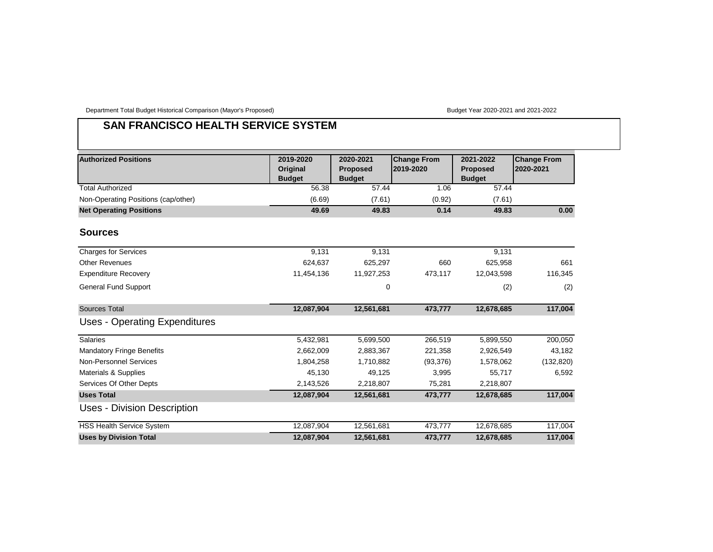Department Total Budget Historical Comparison (Mayor's Proposed) Budget Year 2020-2021 and 2021-2022

# **SAN FRANCISCO HEALTH SERVICE SYSTEM**

| <b>Authorized Positions</b>          | 2019-2020<br>Original<br><b>Budget</b> | 2020-2021<br><b>Proposed</b><br><b>Budget</b> | <b>Change From</b><br>2019-2020 | 2021-2022<br><b>Proposed</b><br><b>Budget</b> | <b>Change From</b><br>2020-2021 |
|--------------------------------------|----------------------------------------|-----------------------------------------------|---------------------------------|-----------------------------------------------|---------------------------------|
| <b>Total Authorized</b>              | 56.38                                  | 57.44                                         | 1.06                            | 57.44                                         |                                 |
| Non-Operating Positions (cap/other)  | (6.69)                                 | (7.61)                                        | (0.92)                          | (7.61)                                        |                                 |
| <b>Net Operating Positions</b>       | 49.69                                  | 49.83                                         | 0.14                            | 49.83                                         | 0.00                            |
| <b>Sources</b>                       |                                        |                                               |                                 |                                               |                                 |
| <b>Charges for Services</b>          | 9,131                                  | 9,131                                         |                                 | 9,131                                         |                                 |
| <b>Other Revenues</b>                | 624,637                                | 625,297                                       | 660                             | 625,958                                       | 661                             |
| <b>Expenditure Recovery</b>          | 11,454,136                             | 11,927,253                                    | 473,117                         | 12,043,598                                    | 116,345                         |
| <b>General Fund Support</b>          |                                        | $\mathbf 0$                                   |                                 | (2)                                           | (2)                             |
| <b>Sources Total</b>                 | 12,087,904                             | 12,561,681                                    | 473,777                         | 12,678,685                                    | 117,004                         |
| <b>Uses - Operating Expenditures</b> |                                        |                                               |                                 |                                               |                                 |
| <b>Salaries</b>                      | 5,432,981                              | 5,699,500                                     | 266,519                         | 5,899,550                                     | 200,050                         |
| <b>Mandatory Fringe Benefits</b>     | 2,662,009                              | 2,883,367                                     | 221,358                         | 2,926,549                                     | 43,182                          |
| <b>Non-Personnel Services</b>        | 1,804,258                              | 1,710,882                                     | (93, 376)                       | 1,578,062                                     | (132, 820)                      |
| Materials & Supplies                 | 45,130                                 | 49,125                                        | 3,995                           | 55,717                                        | 6,592                           |
| Services Of Other Depts              | 2,143,526                              | 2,218,807                                     | 75,281                          | 2,218,807                                     |                                 |
| <b>Uses Total</b>                    | 12,087,904                             | 12,561,681                                    | 473,777                         | 12,678,685                                    | 117,004                         |
| Uses - Division Description          |                                        |                                               |                                 |                                               |                                 |
| <b>HSS Health Service System</b>     | 12,087,904                             | 12,561,681                                    | 473,777                         | 12,678,685                                    | 117,004                         |
| <b>Uses by Division Total</b>        | 12,087,904                             | 12,561,681                                    | 473,777                         | 12,678,685                                    | 117,004                         |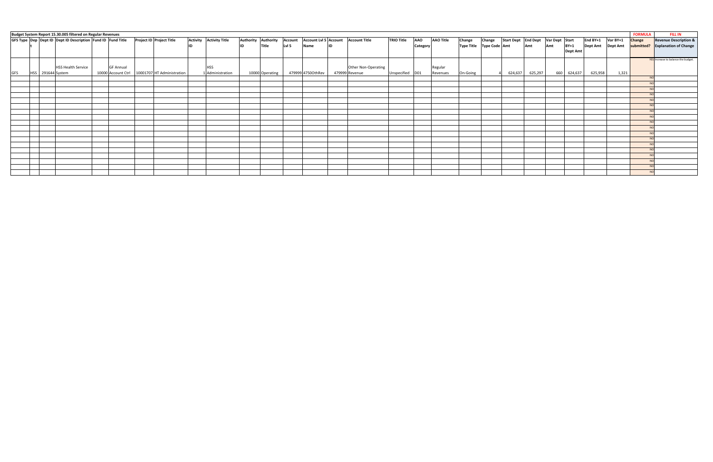| Budget System Report 15.30.005 filtered on Regular Revenues<br><b>FORMULA</b><br>GFS Type Dep Dept ID Dept ID Description Fund ID Fund Title |  |                   |                           |                    |  |                            |                 |                       |                     |                 |                |                   |    | <b>FILL IN</b>                      |                   |            |                  |                          |        |                                    |         |     |                 |          |                 |               |                                     |
|----------------------------------------------------------------------------------------------------------------------------------------------|--|-------------------|---------------------------|--------------------|--|----------------------------|-----------------|-----------------------|---------------------|-----------------|----------------|-------------------|----|-------------------------------------|-------------------|------------|------------------|--------------------------|--------|------------------------------------|---------|-----|-----------------|----------|-----------------|---------------|-------------------------------------|
|                                                                                                                                              |  |                   |                           |                    |  | Project ID Project Title   | <b>Activity</b> | <b>Activity Title</b> | Authority Authority |                 | <b>Account</b> |                   |    | Account Lvl 5 Account Account Title | <b>TRIO Title</b> | <b>AAO</b> | <b>AAO Title</b> | Change                   | Change | Start Dept End Dept Var Dept Start |         |     |                 | End BY+1 | Var BY+1        | <b>Change</b> | <b>Revenue Description &amp;</b>    |
|                                                                                                                                              |  |                   |                           |                    |  |                            | lıd             |                       |                     | Title           | Lvl 5          | Name              | ID |                                     |                   | Category   |                  | Type Title Type Code Amt |        |                                    | Amt     | Amt | $BY+1$          | Dept Amt | <b>Dept Amt</b> | submitted?    | <b>Explanation of Change</b>        |
|                                                                                                                                              |  |                   |                           |                    |  |                            |                 |                       |                     |                 |                |                   |    |                                     |                   |            |                  |                          |        |                                    |         |     | <b>Dept Amt</b> |          |                 |               |                                     |
|                                                                                                                                              |  |                   |                           |                    |  |                            |                 |                       |                     |                 |                |                   |    |                                     |                   |            |                  |                          |        |                                    |         |     |                 |          |                 |               | YES Increase to balance the budget. |
|                                                                                                                                              |  |                   |                           |                    |  |                            |                 |                       |                     |                 |                |                   |    |                                     |                   |            |                  |                          |        |                                    |         |     |                 |          |                 |               |                                     |
|                                                                                                                                              |  |                   | <b>HSS Health Service</b> | <b>GF Annual</b>   |  |                            |                 | <b>HSS</b>            |                     |                 |                |                   |    | Other Non-Operating                 |                   |            | Regular          |                          |        |                                    |         |     |                 |          |                 |               |                                     |
| GFS                                                                                                                                          |  | HSS 291644 System |                           | 10000 Account Ctrl |  | 10001707 HT Administration |                 | 1 Administration      |                     | 10000 Operating |                | 479999 4750OthRev |    | 479999 Revenue                      | Unspecified D01   |            | Revenues         | On-Going                 |        | 624,637                            | 625,297 |     | 660 624,637     | 625,958  | 1,321           |               |                                     |
|                                                                                                                                              |  |                   |                           |                    |  |                            |                 |                       |                     |                 |                |                   |    |                                     |                   |            |                  |                          |        |                                    |         |     |                 |          |                 |               |                                     |
|                                                                                                                                              |  |                   |                           |                    |  |                            |                 |                       |                     |                 |                |                   |    |                                     |                   |            |                  |                          |        |                                    |         |     |                 |          |                 |               |                                     |
|                                                                                                                                              |  |                   |                           |                    |  |                            |                 |                       |                     |                 |                |                   |    |                                     |                   |            |                  |                          |        |                                    |         |     |                 |          |                 |               |                                     |
|                                                                                                                                              |  |                   |                           |                    |  |                            |                 |                       |                     |                 |                |                   |    |                                     |                   |            |                  |                          |        |                                    |         |     |                 |          |                 |               |                                     |
|                                                                                                                                              |  |                   |                           |                    |  |                            |                 |                       |                     |                 |                |                   |    |                                     |                   |            |                  |                          |        |                                    |         |     |                 |          |                 |               |                                     |
|                                                                                                                                              |  |                   |                           |                    |  |                            |                 |                       |                     |                 |                |                   |    |                                     |                   |            |                  |                          |        |                                    |         |     |                 |          |                 |               |                                     |
|                                                                                                                                              |  |                   |                           |                    |  |                            |                 |                       |                     |                 |                |                   |    |                                     |                   |            |                  |                          |        |                                    |         |     |                 |          |                 |               |                                     |
|                                                                                                                                              |  |                   |                           |                    |  |                            |                 |                       |                     |                 |                |                   |    |                                     |                   |            |                  |                          |        |                                    |         |     |                 |          |                 |               |                                     |
|                                                                                                                                              |  |                   |                           |                    |  |                            |                 |                       |                     |                 |                |                   |    |                                     |                   |            |                  |                          |        |                                    |         |     |                 |          |                 |               |                                     |
|                                                                                                                                              |  |                   |                           |                    |  |                            |                 |                       |                     |                 |                |                   |    |                                     |                   |            |                  |                          |        |                                    |         |     |                 |          |                 |               |                                     |
|                                                                                                                                              |  |                   |                           |                    |  |                            |                 |                       |                     |                 |                |                   |    |                                     |                   |            |                  |                          |        |                                    |         |     |                 |          |                 |               |                                     |
|                                                                                                                                              |  |                   |                           |                    |  |                            |                 |                       |                     |                 |                |                   |    |                                     |                   |            |                  |                          |        |                                    |         |     |                 |          |                 |               |                                     |
|                                                                                                                                              |  |                   |                           |                    |  |                            |                 |                       |                     |                 |                |                   |    |                                     |                   |            |                  |                          |        |                                    |         |     |                 |          |                 |               |                                     |
|                                                                                                                                              |  |                   |                           |                    |  |                            |                 |                       |                     |                 |                |                   |    |                                     |                   |            |                  |                          |        |                                    |         |     |                 |          |                 |               |                                     |
|                                                                                                                                              |  |                   |                           |                    |  |                            |                 |                       |                     |                 |                |                   |    |                                     |                   |            |                  |                          |        |                                    |         |     |                 |          |                 |               |                                     |
|                                                                                                                                              |  |                   |                           |                    |  |                            |                 |                       |                     |                 |                |                   |    |                                     |                   |            |                  |                          |        |                                    |         |     |                 |          |                 |               |                                     |
|                                                                                                                                              |  |                   |                           |                    |  |                            |                 |                       |                     |                 |                |                   |    |                                     |                   |            |                  |                          |        |                                    |         |     |                 |          |                 |               |                                     |
|                                                                                                                                              |  |                   |                           |                    |  |                            |                 |                       |                     |                 |                |                   |    |                                     |                   |            |                  |                          |        |                                    |         |     |                 |          |                 |               |                                     |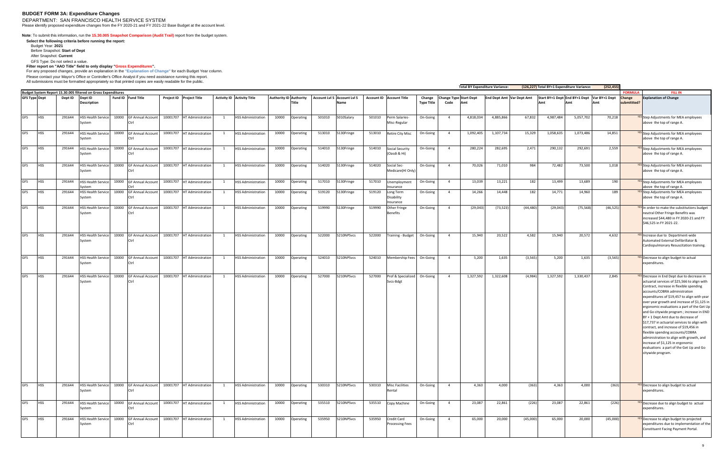#### **BUDGET FORM 3A: Expenditure Changes**

DEPARTMENT: SAN FRANCISCO HEALTH SERVICE SYSTEM Please identify proposed expenditure changes from the FY 2020-21 and FY 2021-22 Base Budget at the account level.

**Note**: To submit this information, run the **15.30.005 Snapshot Comparison (Audit Trail)** report from the budget system.

**Select the following criteria before running the report:**  Budget Year: **2021**

Before Snapshot: **Start of Dept**

After Snapshot: **Current**

GFS Type: Do not select a value.

**Filter report on "AAO Title" field to only display "Gross Expenditures".** 

For any proposed changes, provide an explanation in the **"Explanation of Change"** for each Budget Year column.

Please contact your Mayor's Office or Controller's Office Analyst if you need assistance running this report. All submissions must be formatted appropriately so that printed copies are easily readable for the public.

**Total BY Expenditure Variance: Budget System Report 15.30.005 filtered on Gross Expenditures<br>
<b>GFS Type Dept Dept ID Dept ID Project ID** Project Title **GFS Type Dept Dept ID Dept ID Description Fund ID Fund Title Project ID Project Title Activity ID Activity Title Title Account Lvl 5 Account Lvl 5 Account ID Account Title Change Name Type Title Change Type Start Dept Code Amt End Dept Amt | Var Dept** GFS HSS 291644 HSS Health Service 10000 GF Annual Account System Ctrl 10001707 HT Administration 1 HSS Administration 10000 Operating 501010 5010Salary 501010 Perm Salaries-Misc-Regular GFS HSS 291644 HSS Health Service 10000 GF Annual Account stem Ctrl 10001707 HT Administration 1 HSS Administration 10000 Operating 513010 5130Fringe 513010 Retire City Misc On-Going 4 1,092,405 1,07,734 15,329 1,073,486 1,058,635 1,073,486 14,851 WES Step Adjustments for MEA employees GFS | HSS | 291644 | HSS Health Service | 10000 | GF Annual Account System Ctrl 10001707 HT Administration 1 HSS Administration 10000 Operating 514010 5130Fringe 514010 Social Security (Oasdi & Hi) GFS |HSS | 291644 |HSS Health Service | 10000 |GF Annual Account | 10001707 |HT Administration | 1 |HSS Administration | 10000 |Operating | 514020 |5130Fringe | 514020 |Social Secvsten Ctrl Medicare(HI Only) GFS HSS 291644 HSS Health Service System 10000 GF Annual Account Ctrl 10001707 HT Administration 1 HSS Administration 10000 Operating 517010 5130Fringe 517010 Unemployment Insurance GFS HSS 291644 HSS Health Service 10000 GF Annual Account <sub>/Stem</sub> Ctrl 10001707 HT Administration 1 HSS Administration 10000 Operating 519120 5130Fringe 519120 Long Term Disability nsurance GFS HSS 291644 HSS Health Service 10000 GF Annual Account vstem Ctrl 10001707 HT Administration 1 HSS Administration 10000 Operating 519990 5130Fringe 519990 Other Fringe Benefits GFS HSS 291644 HSS Health Service 10000 GF Annual Account vstem Ctrl 10001707 HT Administration 1 HSS Administration 10000 Operating 522000 5210NPSvcs 522000 Training Budget On-Going 4 15,940 20,522 4,582 15,940 20,572 4,632 4,632 15,940 4632 4,632 15,940 4583 4,632 15,940 4,582 4,632 15,94 GFS HSS 291644 HSS Health Service 10000 GF Annual Account .<br>ysten Ctrl 10001707 HT Administration 1 HSS Administration 10000 Operating 524010 S210NPSvcs 524010 Membership Fees On-Going 4 5,200 1,635 (3,565) 5,200 1,635 (3,565) 8,565) THT Administration V<sup>ES</sup> Decrease to align budget to actual GFS |HSS | 291644 |HSS Health Service| 10000 |GF Annual Account | 10001707 |HT Administration | 1 |HSS Administration | 10000 |Operating | 527000 |5210NPSvcs | 527000 |Prof & Specialized System Ctrl Svcs-Bdgt GFS HSS | 291644 |HSS Health Service| 10000 |GF Annual Account | 10001707 |HT Administration | 1 |HSS Administration | 10000 |Operating | 530310 |5210NPSvcs | 530310 |Misc Facilities System Ctrl Rental GFS HSS 291644 HSS Health Service 10000 GF Annual Account System Ctrl 10001707 HT Administration 1 HSS Administration 10000 Operating 535510 S210NPSvcs 535510 Copy Machine On-Going 4 23,087 22,861 23,087 22,861 (226) XES Decrease due to align budget to actual GFS HSS 291644 HSS Health Service System 10000 GF Annual Account Ctrl 10001707 HT Administration 1 HSS Administration 10000 Operating 535950 5210NPSvcs 535950 Credit Card ocessing Fees

|            |                               | <b>Total BY Expenditure Variance:</b> |                           |           | (126,227) Total BY+1 Expenditure Variance: |           | (252, 455)    |                          |                                                                                                                                                                                                                                                                                                                                                                                                                                                                                                                                                                                                                                                                                           |  |  |  |
|------------|-------------------------------|---------------------------------------|---------------------------|-----------|--------------------------------------------|-----------|---------------|--------------------------|-------------------------------------------------------------------------------------------------------------------------------------------------------------------------------------------------------------------------------------------------------------------------------------------------------------------------------------------------------------------------------------------------------------------------------------------------------------------------------------------------------------------------------------------------------------------------------------------------------------------------------------------------------------------------------------------|--|--|--|
| Change     | <b>Change Type Start Dept</b> |                                       | End Dept Amt Var Dept Amt |           | Start BY+1 Dept End BY+1 Dept              |           | Var BY+1 Dept | <b>FORMULA</b><br>Change | <b>FILL IN</b><br><b>Explanation of Change</b>                                                                                                                                                                                                                                                                                                                                                                                                                                                                                                                                                                                                                                            |  |  |  |
| Type Title | Code                          | Amt                                   |                           |           | Amt                                        | Amt       | Amt           | submittted?              |                                                                                                                                                                                                                                                                                                                                                                                                                                                                                                                                                                                                                                                                                           |  |  |  |
| On-Going   | $\overline{4}$                | 4,818,034                             | 4,885,866                 | 67,832    | 4,987,484                                  | 5,057,702 | 70,218        |                          | YES Step Adjustments for MEA employees<br>above the top of range A.                                                                                                                                                                                                                                                                                                                                                                                                                                                                                                                                                                                                                       |  |  |  |
| On-Going   | $\overline{4}$                | 1,092,405                             | 1,107,734                 | 15,329    | 1,058,635                                  | 1,073,486 | 14,851        |                          | <b>YES</b> Step Adjustments for MEA employees<br>above the top of range A.                                                                                                                                                                                                                                                                                                                                                                                                                                                                                                                                                                                                                |  |  |  |
| On-Going   | $\overline{4}$                | 280,224                               | 282,695                   | 2,471     | 290,132                                    | 292,691   | 2,559         |                          | <b>YES</b> Step Adjustments for MEA employees<br>above the top of range A.                                                                                                                                                                                                                                                                                                                                                                                                                                                                                                                                                                                                                |  |  |  |
| On-Going   | $\overline{4}$                | 70,026                                | 71,010                    | 984       | 72,482                                     | 73,500    | 1,018         |                          | <b>YES</b> Step Adjustments for MEA employees<br>above the top of range A.                                                                                                                                                                                                                                                                                                                                                                                                                                                                                                                                                                                                                |  |  |  |
| On-Going   | $\overline{4}$                | 13,039                                | 13,221                    | 182       | 13,499                                     | 13,689    | 190           |                          | <b>YES</b> Step Adjustments for MEA employees<br>above the top of range A.                                                                                                                                                                                                                                                                                                                                                                                                                                                                                                                                                                                                                |  |  |  |
| On-Going   | 4                             | 14,266                                | 14,448                    | 182       | 14,771                                     | 14,960    | 189           |                          | <b>YES</b> Step Adjustments for MEA employees<br>above the top of range A.                                                                                                                                                                                                                                                                                                                                                                                                                                                                                                                                                                                                                |  |  |  |
| On-Going   | 4                             | (29, 043)                             | (73, 523)                 | (44, 480) | (29, 043)                                  | (75, 568) | (46, 525)     |                          | <b>YES</b> In order to make the substitutions budget<br>neutral Other Fringe Benefits was<br>increased \$44,480 in FY 2020-21 and FY<br>\$46,525 in FY 2021-22.                                                                                                                                                                                                                                                                                                                                                                                                                                                                                                                           |  |  |  |
| On-Going   | 4                             | 15,940                                | 20,522                    | 4,582     | 15,940                                     | 20,572    | 4,632         |                          | <b>YES</b> Increase due to Department-wide<br>Automated External Defibrillator &<br>Cardiopulmonary Resuscitation training.                                                                                                                                                                                                                                                                                                                                                                                                                                                                                                                                                               |  |  |  |
| On-Going   | 4                             | 5,200                                 | 1,635                     | (3, 565)  | 5,200                                      | 1,635     | (3, 565)      |                          | YES Decrease to align budget to actual<br>expenditures.                                                                                                                                                                                                                                                                                                                                                                                                                                                                                                                                                                                                                                   |  |  |  |
| On-Going   | $\overline{4}$                | 1,327,592                             | 1,322,608                 | (4,984)   | 1,327,592                                  | 1,330,437 | 2,845         |                          | <b>YES</b> Decrease in End Dept due to decrease in<br>actuarial services of \$25,566 to align with<br>Contract, increase in flexible spending<br>accounts/COBRA administration<br>expenditures of \$19,457 to align with year<br>over year growth and increase of \$1,125 in<br>ergonomic evaluations a part of the Get Up<br>and Go citywide program; increase in END<br>BY + 1 Dept Amt due to decrease of<br>\$17,737 in actuarial services to align with<br>contract, and increase of \$19,456 in<br>flexible spending accounts/COBRA<br>administration to align with growth, and<br>increase of \$1,125 in ergonomic<br>evaluations a part of the Get Up and Go<br>citywide program. |  |  |  |
| On-Going   | 4                             | 4,363                                 | 4,000                     | (363)     | 4,363                                      | 4,000     | (363)         |                          | <b>YES</b> Decrease to align budget to actual<br>expenditures.                                                                                                                                                                                                                                                                                                                                                                                                                                                                                                                                                                                                                            |  |  |  |
| On-Going   | 4                             | 23,087                                | 22,861                    | (226)     | 23,087                                     | 22,861    | (226)         |                          | <b>YES</b> Decrease due to align budget to actual<br>expenditures.                                                                                                                                                                                                                                                                                                                                                                                                                                                                                                                                                                                                                        |  |  |  |
| On-Going   | 4                             | 65,000                                | 20,000                    | (45,000)  | 65,000                                     | 20,000    | (45,000)      |                          | YES Decrease to align budget to projected<br>expenditures due to implementation of the<br>Constituent Facing Payment Portal.                                                                                                                                                                                                                                                                                                                                                                                                                                                                                                                                                              |  |  |  |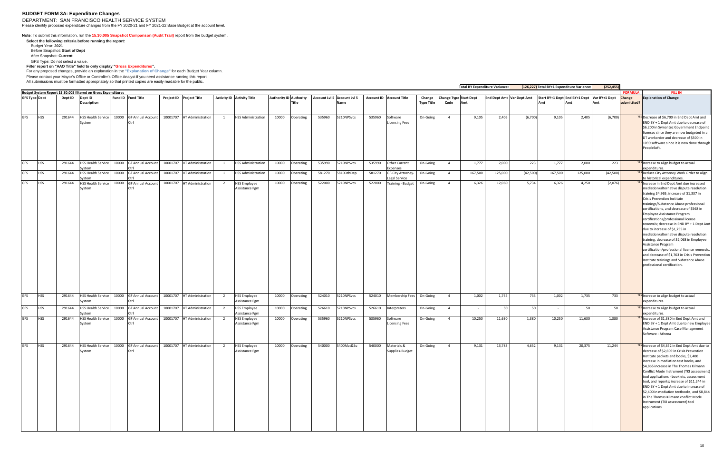#### **BUDGET FORM 3A: Expenditure Changes**

DEPARTMENT: SAN FRANCISCO HEALTH SERVICE SYSTEM Please identify proposed expenditure changes from the FY 2020-21 and FY 2021-22 Base Budget at the account level.

**Note**: To submit this information, run the **15.30.005 Snapshot Comparison (Audit Trail)** report from the budget system.

**Select the following criteria before running the report:**  Budget Year: **2021** Before Snapshot: **Start of Dept**

Please contact your Mayor's Office or Controller's Office Analyst if you need assistance running this report. All submissions must be formatted appropriately so that printed copies are easily readable for the public.

After Snapshot: **Current** GFS Type: Do not select a value.

**Filter report on "AAO Title" field to only display "Gross Expenditures".** 

For any proposed changes, provide an explanation in the **"Explanation of Change"** for each Budget Year column.

| Budget System Report 15.30.005 filtered on Gross Expenditures |            |         |                                             |       |                                                                                      |          |                            |                |                                       |                               |                 |        | (252, 455)<br><b>Total BY Expenditure Variance:</b><br>(126,227) Total BY+1 Expenditure Variance: |        |                                       |                      |                |                                      |         |                           |         |         |                                             |                     |                                                                                                                                                                                                                                                                                                                                                                                                                                                                                                                                                                                                                                                                                                                                            |
|---------------------------------------------------------------|------------|---------|---------------------------------------------|-------|--------------------------------------------------------------------------------------|----------|----------------------------|----------------|---------------------------------------|-------------------------------|-----------------|--------|---------------------------------------------------------------------------------------------------|--------|---------------------------------------|----------------------|----------------|--------------------------------------|---------|---------------------------|---------|---------|---------------------------------------------|---------------------|--------------------------------------------------------------------------------------------------------------------------------------------------------------------------------------------------------------------------------------------------------------------------------------------------------------------------------------------------------------------------------------------------------------------------------------------------------------------------------------------------------------------------------------------------------------------------------------------------------------------------------------------------------------------------------------------------------------------------------------------|
|                                                               |            |         |                                             |       |                                                                                      |          |                            |                |                                       |                               |                 |        |                                                                                                   |        |                                       |                      |                |                                      |         |                           |         |         |                                             | <b>FORMULA</b>      | <b>FILL IN</b>                                                                                                                                                                                                                                                                                                                                                                                                                                                                                                                                                                                                                                                                                                                             |
| <b>GFS Type Dept</b>                                          |            | Dept ID | Dept ID<br><b>Description</b>               |       | Fund ID Fund Title                                                                   |          | Project ID Project Title   |                | <b>Activity ID Activity Title</b>     | <b>Authority ID Authority</b> | Title           |        | Account Lvl 5 Account Lvl 5<br>Name                                                               |        | <b>Account ID</b> Account Title       | Change<br>Type Title | Code           | <b>Change Type Start Dept</b><br>Amt |         | End Dept Amt Var Dept Amt | Amt     | Amt     | Start BY+1 Dept End BY+1 Dept Var BY+1 Dept | hange<br>ubmittted? | <b>Explanation of Change</b>                                                                                                                                                                                                                                                                                                                                                                                                                                                                                                                                                                                                                                                                                                               |
| GFS                                                           | <b>HSS</b> | 291644  | <b>HSS Health Service</b><br>System         | 10000 | <b>GF Annual Account</b>                                                             |          | 10001707 HT Administration | 1              | <b>HSS Administration</b>             | 10000                         | Operating       | 535960 | 5210NPSvcs                                                                                        | 535960 | Software<br>Licensing Fees            | On-Going             | $\overline{4}$ | 9,105                                | 2,405   | (6,700)                   | 9,105   | 2,405   | (6,700)                                     |                     | <b>YES</b> Decrease of \$6,700 in End Dept Amt and<br>END BY + 1 Dept Amt due to decrease of<br>\$6,200 in Symantec Government Endpoint<br>licenses since they are now budgeted in a<br>DT workorder and decrease of \$500 in<br>1099 software since it is now done through<br>PeopleSoft.                                                                                                                                                                                                                                                                                                                                                                                                                                                 |
| GFS                                                           | <b>HSS</b> | 291644  | HSS Health Service 10000                    |       | <b>GF Annual Account</b>                                                             |          | 10001707 HT Administration | $\mathbf{1}$   | <b>HSS Administration</b>             | 10000                         | Operating       | 535990 | 5210NPSvcs                                                                                        | 535990 | Other Current                         | On-Going             | $\overline{4}$ | 1,777                                | 2,000   | 223                       | 1,777   | 2,000   | 223                                         |                     | <b>YES</b> Increase to align budget to actual                                                                                                                                                                                                                                                                                                                                                                                                                                                                                                                                                                                                                                                                                              |
| <b>GFS</b>                                                    | <b>HSS</b> | 291644  | vstem<br>HSS Health Service 10000           |       | <b>GF Annual Account</b>                                                             |          | 10001707 HT Administration | 1              | <b>HSS Administration</b>             | 10000                         | Operating       | 581270 | 5810OthDep                                                                                        | 581270 | xpenses<br>GF-City Attorney-          | On-Going             | $\overline{4}$ | 167,500                              | 125,000 | (42, 500)                 | 167,500 | 125,000 | (42,500)                                    |                     | expenditures.<br><b>YES</b> Reduce City Attorney Work Order to align                                                                                                                                                                                                                                                                                                                                                                                                                                                                                                                                                                                                                                                                       |
| <b>GFS</b>                                                    | <b>HSS</b> | 291644  | vstem<br>HSS Health Service 10000<br>System |       | <b>GF Annual Account</b>                                                             |          | 10001707 HT Administration | 2              | <b>HSS Employee</b><br>Assistance Pgm | 10000                         | Operating       | 522000 | 5210NPSvcs                                                                                        | 522000 | egal Service<br>Training - Budget     | On-Going             | $\overline{4}$ | 6,326                                | 12,060  | 5,734                     | 6,326   | 4,250   | (2,076)                                     |                     | to historical expenditures.<br><b>YES</b> Increase in End Dept Amt due increased<br>mediation/alternative dispute resolution<br>training \$4,965, increase of \$1,337 in<br>Crisis Prevention Institute<br>trainings/Substance Abuse professional<br>certifications, and decrease of \$568 in<br>Employee Assistance Program<br>certifications/professional license<br>renewals; decrease in END BY + 1 Dept Amt<br>due to increase of \$1,755 in<br>mediation/alternative dispute resolution<br>training, decrease of \$2,068 in Employee<br>Assistance Program<br>certification/professional license renewals,<br>and decrease of \$1,763 in Crisis Prevention<br>Institute trainings and Substance Abuse<br>professional certification. |
| <b>GFS</b>                                                    | <b>HSS</b> | 291644  | HSS Health Service 10000<br>System          |       | <b>GF Annual Account</b><br>^trl                                                     |          | 10001707 HT Administration | $\overline{2}$ | <b>HSS Employee</b><br>Assistance Pgm | 10000                         | Operating       | 524010 | 5210NPSvcs                                                                                        | 524010 | Membership Fees                       | On-Going             | $\overline{4}$ | 1,002                                | 1,735   | 733                       | 1,002   | 1,735   | 733                                         |                     | <b>YES</b> Increase to align budget to actual<br>expenditures.                                                                                                                                                                                                                                                                                                                                                                                                                                                                                                                                                                                                                                                                             |
| GFS                                                           | <b>HSS</b> | 291644  | HSS Health Service 10000<br>svstem          |       | <b>GF Annual Account</b>                                                             | 10001707 | HT Administration          | 2              | <b>HSS Employee</b><br>Assistance Pgm | 10000                         | Operating       | 526610 | 5210NPSvcs                                                                                        | 526610 | nterpreters                           | On-Going             | $\overline{4}$ |                                      | 50      | 50                        |         | 50      | 50                                          |                     | <b>YES</b> Increase to align budget to actual<br>expenditures.                                                                                                                                                                                                                                                                                                                                                                                                                                                                                                                                                                                                                                                                             |
| GFS                                                           | <b>HSS</b> | 291644  | <b>HSS Health Service</b><br>System         | 10000 | <b>GF Annual Account</b><br>^trl                                                     |          | 10001707 HT Administration | 2              | <b>HSS Employee</b><br>Assistance Pgm | 10000                         | Operating       | 535960 | 5210NPSvcs                                                                                        | 535960 | Software<br><b>Licensing Fees</b>     | On-Going             | $\overline{4}$ | 10,250                               | 11,630  | 1,380                     | 10,250  | 11,630  | 1,380                                       |                     | <b>YES</b> Increase of \$1,380 in End Dept Amt and<br>END BY + 1 Dept Amt due to new Employee<br>Assistance Program Case Management<br>Software - Athena                                                                                                                                                                                                                                                                                                                                                                                                                                                                                                                                                                                   |
| <b>GFS</b>                                                    | <b>HSS</b> |         | System                                      |       | 291644 HSS Health Service 10000 GF Annual Account 10001707 HT Administration<br>Ctrl |          |                            |                | 2 HSS Employee<br>Assistance Pgm      |                               | 10000 Operating |        | 540000 5400Mat&Su                                                                                 |        | 540000 Materials &<br>Supplies-Budget | On-Going             | $\overline{4}$ | 9,131                                | 13,783  | 4,652                     | 9,131   | 20,375  | 11,244                                      |                     | <sup>YES</sup> Increase of \$4,652 in End Dept Amt due to<br>decrease of \$2,609 in Crisis Prevention<br>Institute packets and books, \$2,400<br>increase in mediation text books, and<br>\$4,865 increase in The Thomas Kilmann<br>Conflict Mode Instrument (TKI assessment)<br>tool applications - booklets, assessment<br>tool, and reports; increase of \$11,244 in<br>END BY + 1 Dept Amt due to increase of<br>\$2,400 in mediation textbooks, and \$8,844<br>in The Thomas Kilmann conflict Mode<br>Instrument (TKI assessment) tool<br>applications.                                                                                                                                                                               |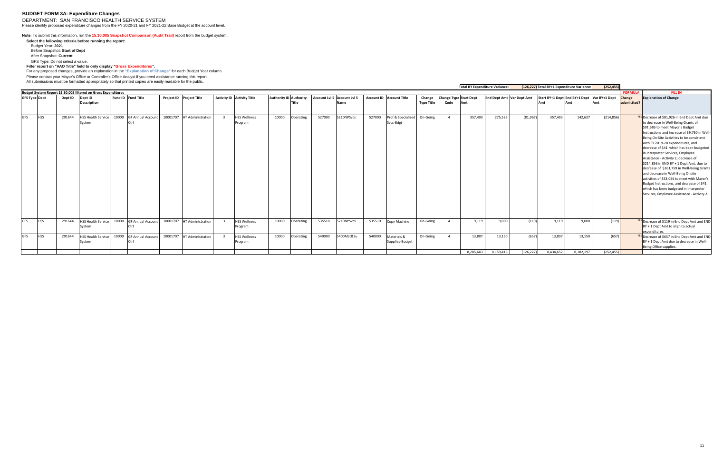#### **BUDGET FORM 3A: Expenditure Changes**

DEPARTMENT: SAN FRANCISCO HEALTH SERVICE SYSTEM Please identify proposed expenditure changes from the FY 2020-21 and FY 2021-22 Base Budget at the account level.

#### **Note**: To submit this information, run the **15.30.005 Snapshot Comparison (Audit Trail)** report from the budget system.

**Select the following criteria before running the report:**  Budget Year: **2021** Before Snapshot: **Start of Dept** After Snapshot: **Current**

Please contact your Mayor's Office or Controller's Office Analyst if you need assistance running this report. All submissions must be formatted appropriately so that printed copies are easily readable for the public.

GFS Type: Do not select a value.

**Filter report on "AAO Title" field to only display "Gross Expenditures".** 

For any proposed changes, provide an explanation in the **"Explanation of Change"** for each Budget Year column.

|                      |            |         |                                                               |                         |                            |                                |                               |              |        |                                                              |        |                                          |                             |      |                                      | <b>Total BY Expenditure Variance:</b> |                                                                              |           | (126,227) Total BY+1 Expenditure Variance: | (252, 455) |                |                                                                                                                                                                                                                                                                                                                                                                                                                                                                                                                                                                                                                                                                                                                 |
|----------------------|------------|---------|---------------------------------------------------------------|-------------------------|----------------------------|--------------------------------|-------------------------------|--------------|--------|--------------------------------------------------------------|--------|------------------------------------------|-----------------------------|------|--------------------------------------|---------------------------------------|------------------------------------------------------------------------------|-----------|--------------------------------------------|------------|----------------|-----------------------------------------------------------------------------------------------------------------------------------------------------------------------------------------------------------------------------------------------------------------------------------------------------------------------------------------------------------------------------------------------------------------------------------------------------------------------------------------------------------------------------------------------------------------------------------------------------------------------------------------------------------------------------------------------------------------|
|                      |            |         | Budget System Report 15.30.005 filtered on Gross Expenditures |                         |                            |                                |                               |              |        |                                                              |        |                                          |                             |      |                                      |                                       |                                                                              |           |                                            |            | <b>FORMULA</b> | <b>FILL IN</b>                                                                                                                                                                                                                                                                                                                                                                                                                                                                                                                                                                                                                                                                                                  |
| <b>GFS Type Dept</b> |            | Dept ID | Dept ID<br><b>Description</b>                                 | Fund ID Fund Title      | Project ID Project Title   | Activity ID Activity Title     | <b>Authority ID Authority</b> | <b>Title</b> |        | Account Lvl 5 Account Lvl 5 Account ID Account Title<br>Name |        |                                          | Change<br><b>Type Title</b> | Code | <b>Change Type Start Dept</b><br>Amt |                                       | End Dept Amt Var Dept Amt Start BY+1 Dept End BY+1 Dept Var BY+1 Dept Change |           |                                            |            | submittted?    | <b>Explanation of Change</b>                                                                                                                                                                                                                                                                                                                                                                                                                                                                                                                                                                                                                                                                                    |
| <b>GFS</b>           | <b>HSS</b> | 291644  | <b>HSS Health Service</b><br>System                           | 10000 GF Annual Account | 10001707 HT Administration | <b>HSS Wellness</b><br>Program | 10000                         | Operating    | 527000 | 5210NPSvcs                                                   | 527000 | Prof & Specialized On-Going<br>Svcs-Bdgt |                             |      | 357,493                              | 275,526                               | (81, 967)                                                                    | 357,493   | 142,637                                    | (214, 856) |                | <b>YES</b> Decrease of \$81,926 in End Dept Amt due<br>to decrease in Well-Being Grants of<br>\$91,686 to meet Mayor's Budget<br>Instructions and increase of \$9,760 in Well-<br>Being On-Site Activities to be consistent<br>with FY 2019-20 expenditures, and<br>decrease of \$41 which has been budgeted<br>in Interpreter Services, Employee<br>Assistance - Activity 2; decrease of<br>$$214,856$ in END BY + 1 Dept Amt. due to<br>decrease of \$161,759 in Well-Being Grants<br>and decrease in Well-Being Onsite<br>activities of \$53,056 to meet with Mayor's<br>Budget Instructions, and decrease of \$41,<br>which has been budgeted in Interpreter<br>Services, Employee Assistance - Activity 2. |
| <b>GFS</b>           | <b>HSS</b> | 291644  | <b>HSS Health Service</b><br>System                           | 10000 GF Annual Account | 10001707 HT Administration | <b>HSS Wellness</b><br>Program | 10000                         | Operating    | 535510 | 5210NPSvcs                                                   | 535510 | Copy Machine                             | On-Going                    |      | 9,119                                | 9,000                                 | (119)                                                                        | 9,119     | 9.000                                      | (119)      |                | <b>YES</b> Decrease of \$119 in End Dept Amt and END<br>$BY + 1$ Dept Amt to align to actual<br>lexpenditures.                                                                                                                                                                                                                                                                                                                                                                                                                                                                                                                                                                                                  |
| <b>GFS</b>           | <b>HSS</b> | 291644  | <b>HSS Health Service</b><br>Svstem                           | 10000 GF Annual Account | 10001707 HT Administration | <b>HSS Wellness</b><br>Program | 10000                         | Operating    | 540000 | 5400Mat&Su                                                   | 540000 | Materials &<br>Supplies-Budget           | On-Going                    |      | 13,807                               | 13,150                                | (657)                                                                        | 13,807    | 13,150                                     | (657)      |                | <b>YES</b> Decrease of \$657 in End Dept Amt and END<br>$BY + 1$ Dept Amt due to decrease in Well-<br>Being Office supplies.                                                                                                                                                                                                                                                                                                                                                                                                                                                                                                                                                                                    |
|                      |            |         |                                                               |                         |                            |                                |                               |              |        |                                                              |        |                                          |                             |      | 8,285,643                            | 8,159,416                             | (126, 227)                                                                   | 8,434,652 | 8,182,197                                  | (252, 455) |                |                                                                                                                                                                                                                                                                                                                                                                                                                                                                                                                                                                                                                                                                                                                 |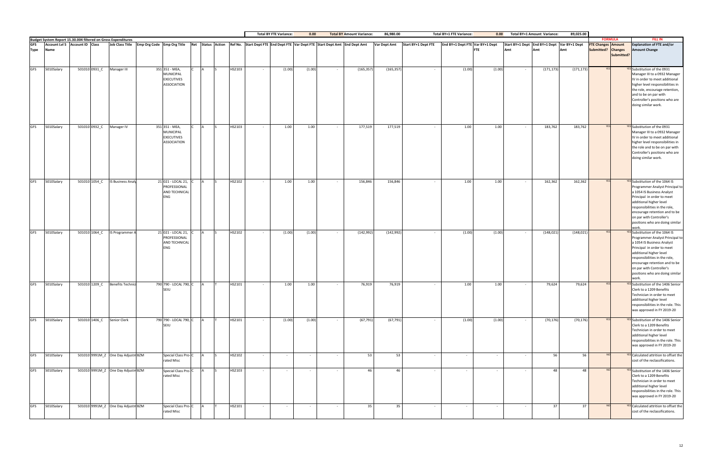|            |                                                                                                 |               |                                            |                                                                               |  |        |            | <b>Total BY FTE Variance:</b> | 0.00   |                                                                                                | <b>Total BY Amount Variance:</b> | 86,980.00    |                     | <b>Total BY+1 FTE Variance:</b> | 0.00   |        | <b>Total BY+1 Amount Variance:</b>          | 89,025.00  |                           |                |                                                                                                                                                                                                                                                                                                            |
|------------|-------------------------------------------------------------------------------------------------|---------------|--------------------------------------------|-------------------------------------------------------------------------------|--|--------|------------|-------------------------------|--------|------------------------------------------------------------------------------------------------|----------------------------------|--------------|---------------------|---------------------------------|--------|--------|---------------------------------------------|------------|---------------------------|----------------|------------------------------------------------------------------------------------------------------------------------------------------------------------------------------------------------------------------------------------------------------------------------------------------------------------|
| <b>GFS</b> | Budget System Report 15.30.004 filtered on Gross Expenditures<br>Account Lvl 5 Account ID Class |               | Job Class Title Emp Org Code Emp Org Title |                                                                               |  |        |            |                               |        | Ret Status Action Ref No. Start Dept FTE End Dept FTE Var Dept FTE Start Dept Amt End Dept Amt |                                  | Var Dept Amt | Start BY+1 Dept FTE | End BY+1 Dept FTE Var BY+1 Dept |        |        | Start BY+1 Dept End BY+1 Dept Var BY+1 Dept |            | <b>FTE Changes Amount</b> | <b>FORMULA</b> | <b>FILL IN</b><br><b>Explanation of FTE and/or</b>                                                                                                                                                                                                                                                         |
| Type       | <b>Name</b>                                                                                     |               |                                            |                                                                               |  |        |            |                               |        |                                                                                                |                                  |              |                     | <b>FTE</b>                      |        | Amt    | Amt                                         |            | Submitted? Changes        | Submitted?     | <b>Amount Change</b>                                                                                                                                                                                                                                                                                       |
| <b>GFS</b> | 5010Salary                                                                                      | 501010 0931_C | Manager III                                | 351 351 - MEA,<br>MUNICIPAL<br><b>EXECUTIVES</b><br><b>ASSOCIATION</b>        |  | HS2103 |            | (1.00)                        | (1.00) | $\sim$                                                                                         | (165, 357)                       | (165, 357)   | $\sim$ $-$          | (1.00)                          | (1.00) |        | (171, 173)                                  | (171, 173) | <b>YFS</b>                |                | <b>YES</b> Substitution of the 0931<br>Manager III to a 0932 Manager<br>IV in order to meet additional<br>higher level responsibilities in<br>the role, encourage retention,<br>and to be on par with<br>Controller's positions who are<br>doing similar work.                                             |
| <b>GFS</b> | 5010Salary                                                                                      | 501010 0932_C | Manager IV                                 | 351 351 - MEA,<br><b>MUNICIPAL</b><br><b>EXECUTIVES</b><br><b>ASSOCIATION</b> |  | HS2103 | $\sim$ $-$ | 1.00                          | 1.00   | $\sim$                                                                                         | 177,519                          | 177,519      | $\sim$              | 1.00                            | 1.00   | $\sim$ | 183,762                                     | 183,762    |                           |                | <b>YES</b> Substitution of the 0931<br>Manager III to a 0932 Manager<br>IV in order to meet additional<br>higher level responsibilities in<br>the role and to be on par with<br>Controller's positions who are<br>doing similar work.                                                                      |
| GFS        | 5010Salary                                                                                      | 501010 1054 C | <b>IS Business Analy</b>                   | 21 021 - LOCAL 21,<br>PROFESSIONAL<br><b>AND TECHNICAL</b><br><b>ENG</b>      |  | HS2102 |            | 1.00                          | 1.00   | $\sim$                                                                                         | 156,846                          | 156,846      | $\sim$              | 1.00                            | 1.00   |        | 162,362                                     | 162,362    | YES                       |                | <b>YES</b> Substitution of the 1064 IS<br>Programmer Analyst Principal to<br>a 1054 IS Business Analyst<br>Principal in order to meet<br>additional higher level<br>responsibilities in the role,<br>encourage retention and to be<br>on par with Controller's<br>positions who are doing similar<br>work. |
| <b>GFS</b> | 5010Salary                                                                                      |               | 501010 1064_C IS Programmer A              | 21 021 - LOCAL 21,<br>PROFESSIONAL<br><b>AND TECHNICAL</b><br><b>ENG</b>      |  | HS2102 |            | (1.00)                        | (1.00) | $\sim$                                                                                         | (142, 992)                       | (142, 992)   | $\sim$              | (1.00)                          | (1.00) |        | (148, 021)                                  | (148, 021) |                           |                | <b>YES</b> Substitution of the 1064 IS<br>Programmer Analyst Principal to<br>a 1054 IS Business Analyst<br>Principal in order to meet<br>additional higher level<br>responsibilities in the role,<br>encourage retention and to be<br>on par with Controller's<br>positions who are doing similar<br>work. |
| <b>GFS</b> | 5010Salary                                                                                      | 501010 1209_C | <b>Benefits Technic</b>                    | 790 790 - LOCAL 790, C<br>SEIU                                                |  | HS2101 |            | 1.00                          | 1.00   | $\sim$                                                                                         | 76,919                           | 76,919       | $\sim$              | 1.00                            | 1.00   | $\sim$ | 79,624                                      | 79,624     |                           |                | YES Substitution of the 1406 Senior<br>Clerk to a 1209 Benefits<br>Technician in order to meet<br>additional higher level<br>responsibilities in the role. This<br>was approved in FY 2019-20                                                                                                              |
| <b>GFS</b> | 5010Salary                                                                                      |               | 501010 1406_C Senior Clerk                 | 790 790 - LOCAL 790, C<br><b>SEIU</b>                                         |  | HS2101 |            | (1.00)                        | (1.00) | $\sim$                                                                                         | (67, 791)                        | (67, 791)    | $\sim$ $ \sim$      | (1.00)                          | (1.00) |        | (70, 176)                                   | (70, 176)  | <b>YES</b>                |                | <b>YES</b> Substitution of the 1406 Senior<br>Clerk to a 1209 Benefits<br>Technician in order to meet<br>additional higher level<br>responsibilities in the role. This<br>was approved in FY 2019-20                                                                                                       |
| <b>GFS</b> | 5010Salary                                                                                      |               | 501010 9991M_Z One Day Adjustm BZM         | Special Class Pro-C<br>rated Misc                                             |  | HS2102 |            | $\sim$                        | $\sim$ |                                                                                                | 53                               | 53           | $\sim$              | $\sim$                          | $\sim$ |        | 56                                          | 56         |                           |                | <b>YES</b> Calculated attrition to offset the<br>cost of the reclassifications.                                                                                                                                                                                                                            |
| <b>GFS</b> | 5010Salary                                                                                      |               | 501010 9991M_Z One Day Adjustm BZM         | Special Class Pro-C<br>rated Misc                                             |  | HS2103 |            | $\sim$                        | $\sim$ | $\sim$ $-$                                                                                     | 46                               | 46           | $\sim$ $-$          | $\sim$                          | $\sim$ | $\sim$ | 48                                          | 48         |                           |                | <b>YES</b> Substitution of the 1406 Senior<br>Clerk to a 1209 Benefits<br>Technician in order to meet<br>additional higher level<br>responsibilities in the role. This<br>was approved in FY 2019-20                                                                                                       |
| <b>GFS</b> | 5010Salary                                                                                      |               | 501010 9991M_Z One Day Adjustm BZM         | Special Class Pro-C<br>rated Misc                                             |  | HS2101 |            | $\sim$                        | $\sim$ | $\sim$                                                                                         | 35                               | 35           | $\sim$              | $\sim$                          | $\sim$ | $\sim$ | 37                                          | 37         |                           |                | <b>YES</b> Calculated attrition to offset the<br>cost of the reclassifications.                                                                                                                                                                                                                            |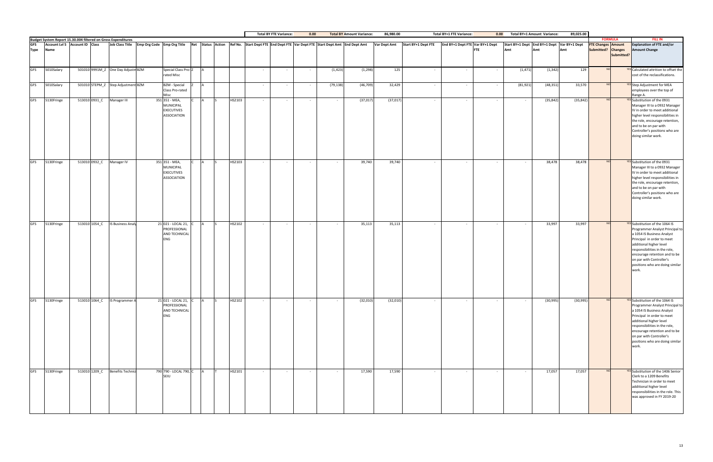|             |            |                                                                                                                             |               |                                    |                          |                                                                        |  |                                                                                                |        | <b>Total BY FTE Variance:</b> | 0.00       |           | <b>Total BY Amount Variance:</b> | 86,980.00    |                            | <b>Total BY+1 FTE Variance:</b> | 0.00       |           | Total BY+1 Amount Variance:                 | 89,025.00 |                           |                |                                                                                                                                                                                                                                                                                                            |
|-------------|------------|-----------------------------------------------------------------------------------------------------------------------------|---------------|------------------------------------|--------------------------|------------------------------------------------------------------------|--|------------------------------------------------------------------------------------------------|--------|-------------------------------|------------|-----------|----------------------------------|--------------|----------------------------|---------------------------------|------------|-----------|---------------------------------------------|-----------|---------------------------|----------------|------------------------------------------------------------------------------------------------------------------------------------------------------------------------------------------------------------------------------------------------------------------------------------------------------------|
|             |            | <b>Budget System Report 15.30.004 filtered on Gross Expenditures<br/>GFS</b> Account LvI 5 Account ID Class Job Class Title |               |                                    |                          | Job Class Title Emp Org Code Emp Org Title                             |  | Ret Status Action Ref No. Start Dept FTE End Dept FTE Var Dept FTE Start Dept Amt End Dept Amt |        |                               |            |           |                                  | Var Dept Amt | <b>Start BY+1 Dept FTE</b> | End BY+1 Dept FTE Var BY+1 Dept |            |           | Start BY+1 Dept End BY+1 Dept Var BY+1 Dept |           | <b>FTE Changes Amount</b> | <b>FORMULA</b> | <b>FILL IN</b><br><b>Explanation of FTE and/or</b>                                                                                                                                                                                                                                                         |
| <b>Type</b> | Name       |                                                                                                                             |               |                                    |                          |                                                                        |  |                                                                                                |        |                               |            |           |                                  |              |                            |                                 | <b>FTE</b> | Amt       | Amt                                         | Amt       | Submitted? Changes        | Submitted?     | <b>Amount Change</b>                                                                                                                                                                                                                                                                                       |
| <b>GFS</b>  | 5010Salary |                                                                                                                             |               | 501010 9991M_Z One Day Adjustm BZM |                          | Special Class Pro-Z<br>rated Misc                                      |  |                                                                                                |        | $\sim$                        | $\sim$ $-$ | (1, 423)  | (1, 298)                         | 125          | $\sim$                     | $\sim$                          | $\sim$     | (1, 471)  | (1, 342)                                    | 129       |                           |                | <b>YES</b> Calculated attrition to offset the<br>cost of the reclassifications.                                                                                                                                                                                                                            |
| <b>GFS</b>  | 5010Salary |                                                                                                                             |               | 501010 STEPM_Z Step Adjustment BZM |                          | <b>BZM</b> - Special<br>Class Pro-rated<br>Misc                        |  |                                                                                                | $\sim$ | $\sim$                        | $\sim$ $-$ | (79, 138) | (46, 709)                        | 32,429       | $\sim$ $-$                 | $\sim$ $-$                      | $\sim$     | (81, 921) | (48, 351)                                   | 33,570    |                           |                | <b>YES</b> Step Adjustment for MEA<br>employees over the top of<br>Range A.                                                                                                                                                                                                                                |
| GFS         | 5130Fringe |                                                                                                                             |               | 513010 0931_C Manager III          |                          | 351 351 - MEA,<br>MUNICIPAL<br><b>EXECUTIVES</b><br><b>ASSOCIATION</b> |  | HS2103                                                                                         |        | $\sim$                        | $\sim$ $-$ | $\sim$    | (37, 017)                        | (37, 017)    | $\sim$                     | $\sim$                          | $\sim$     |           | (35, 842)                                   | (35, 842) |                           |                | YES Substitution of the 0931<br>Manager III to a 0932 Manager<br>IV in order to meet additional<br>higher level responsibilities in<br>the role, encourage retention,<br>and to be on par with<br>Controller's positions who are<br>doing similar work.                                                    |
| <b>GFS</b>  | 5130Fringe |                                                                                                                             |               | 513010 0932_C Manager IV           |                          | 351 351 - MEA,<br>MUNICIPAL<br><b>EXECUTIVES</b><br><b>ASSOCIATION</b> |  | HS2103                                                                                         | $\sim$ | $\sim$                        | $\sim$ $-$ | $\sim$    | 39,740                           | 39,740       | $\sim$                     | $\sim$                          | $\sim$     |           | 38,478                                      | 38,478    | <b>NO</b>                 |                | YES Substitution of the 0931<br>Manager III to a 0932 Manager<br>IV in order to meet additional<br>higher level responsibilities in<br>the role, encourage retention,<br>and to be on par with<br>Controller's positions who are<br>doing similar work.                                                    |
| <b>GFS</b>  | 5130Fringe |                                                                                                                             | 513010 1054_C |                                    | IS Business Analy        | 21 021 - LOCAL 21, C<br>PROFESSIONAL<br>AND TECHNICAL<br>ENG           |  | HS2102                                                                                         | $\sim$ | $\sim$                        | $\sim$ $-$ | $\sim$    | 35,113                           | 35,113       | $\sim$                     | $\sim$ $-$                      | $\sim$     |           | 33,997                                      | 33,997    | N <sub>C</sub>            |                | <b>YES</b> Substitution of the 1064 IS<br>Programmer Analyst Principal to<br>a 1054 IS Business Analyst<br>Principal in order to meet<br>additional higher level<br>responsibilities in the role,<br>encourage retention and to be<br>on par with Controller's<br>positions who are doing similar<br>work. |
| <b>GFS</b>  | 5130Fringe |                                                                                                                             |               | 513010 1064_C IS Programmer A      |                          | 21 021 - LOCAL 21, C<br>PROFESSIONAL<br>AND TECHNICAL<br><b>ENG</b>    |  | HS2102                                                                                         |        | $\sim$                        | $\sim$     |           | (32,010)                         | (32,010)     | $\sim$                     |                                 |            |           | (30, 995)                                   | (30, 995) | <b>NO</b>                 |                | <b>YES</b> Substitution of the 1064 IS<br>Programmer Analyst Principal to<br>a 1054 IS Business Analyst<br>Principal in order to meet<br>additional higher level<br>responsibilities in the role,<br>encourage retention and to be<br>on par with Controller's<br>positions who are doing similar<br>work. |
| <b>GFS</b>  | 5130Fringe |                                                                                                                             | 513010 1209_C |                                    | <b>Benefits Technici</b> | 790 790 - LOCAL 790, C<br>SEIU                                         |  | HS2101                                                                                         | $\sim$ | $\sim$                        | $\sim$ $-$ | $\sim$    | 17,590                           | 17,590       | $\sim$ $-$                 | $\sim$                          | $\sim$     |           | 17,057                                      | 17,057    |                           |                | <b>YES</b> Substitution of the 1406 Senior<br>Clerk to a 1209 Benefits<br>Technician in order to meet<br>additional higher level<br>responsibilities in the role. This<br>was approved in FY 2019-20                                                                                                       |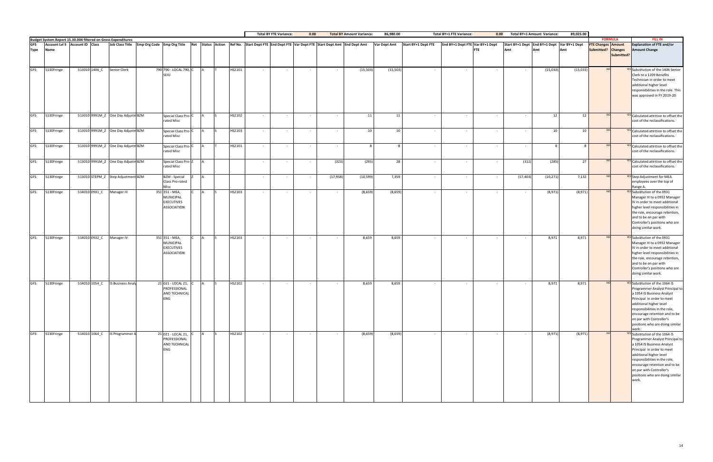|                           |            |                                |               |                                                               |                                                                                                                                           |  |        | <b>Total BY FTE Variance:</b> |        | 0.00           |           | <b>Total BY Amount Variance:</b> | 86,980.00    |                     | <b>Total BY+1 FTE Variance:</b>               | 0.00      | Total BY+1 Amount Variance:                        | 89,025.00    |                                                 |                |                                                                                                                                                                                                                                                                                                            |
|---------------------------|------------|--------------------------------|---------------|---------------------------------------------------------------|-------------------------------------------------------------------------------------------------------------------------------------------|--|--------|-------------------------------|--------|----------------|-----------|----------------------------------|--------------|---------------------|-----------------------------------------------|-----------|----------------------------------------------------|--------------|-------------------------------------------------|----------------|------------------------------------------------------------------------------------------------------------------------------------------------------------------------------------------------------------------------------------------------------------------------------------------------------------|
|                           |            |                                |               | Budget System Report 15.30.004 filtered on Gross Expenditures |                                                                                                                                           |  |        |                               |        |                |           |                                  |              |                     |                                               |           |                                                    |              |                                                 | <b>FORMULA</b> | <b>FILL IN</b>                                                                                                                                                                                                                                                                                             |
| <b>GFS</b><br><b>Type</b> | Name       | Account Lvl 5 Account ID Class |               |                                                               | Job Class Title Emp Org Code Emp Org Title Ret Status Action Ref No. Start Dept FTE End Dept FTE Var Dept FTE Start Dept Amt End Dept Amt |  |        |                               |        |                |           |                                  | Var Dept Amt | Start BY+1 Dept FTE | End BY+1 Dept FTE Var BY+1 Dept<br><b>FTE</b> | Amt       | Start BY+1 Dept End BY+1 Dept Var BY+1 Dept<br>Amt | Amt          | <b>FTE Changes Amount</b><br>Submitted? Changes | Submitted?     | <b>Explanation of FTE and/or</b><br><b>Amount Change</b>                                                                                                                                                                                                                                                   |
| <b>GFS</b>                | 5130Fringe |                                | 513010 1406_C | Senior Clerk                                                  | 790 790 - LOCAL 790, C<br>SEIU                                                                                                            |  | HS2101 |                               | $\sim$ |                |           | (15, 503)                        | (15, 503)    | $\sim$              |                                               |           | (15,033)                                           | (15, 033)    |                                                 |                | <b>YES</b> Substitution of the 1406 Senior<br>Clerk to a 1209 Benefits<br>Technician in order to meet<br>additional higher level<br>responsibilities in the role. This<br>was approved in FY 2019-20                                                                                                       |
| <b>GFS</b>                | 5130Fringe |                                |               | 513010 9991M_Z One Day Adjustm BZM                            | Special Class Pro-C<br>rated Misc                                                                                                         |  | HS2102 |                               | $\sim$ | $\sim$         | $\sim$    | 11                               | 11           | $\sim$              | $\sim$                                        |           | 12                                                 | 12           |                                                 |                | <b>YES</b> Calculated attrition to offset the<br>cost of the reclassifications.                                                                                                                                                                                                                            |
| <b>GFS</b>                | 5130Fringe |                                |               | 513010 9991M_Z One Day Adjustm BZM                            | Special Class Pro-C<br>rated Misc                                                                                                         |  | HS2103 | $\sim$                        | $\sim$ | $\sim$         | $\sim$    | 10                               | 10           | $\sim 100$          | $\sim$<br>$\sim$                              | $\sim$    | 10                                                 | 10           | N <sub>C</sub>                                  |                | <b>YES</b> Calculated attrition to offset the<br>cost of the reclassifications.                                                                                                                                                                                                                            |
| <b>GFS</b>                | 5130Fringe |                                |               | 513010 9991M_Z One Day Adjustm BZM                            | Special Class Pro-C<br>rated Misc                                                                                                         |  | HS2101 |                               | $\sim$ | $\sim$         | $\sim$    |                                  |              | $\sim$              | $\sim$<br>$\sim$                              |           | 8                                                  | $\mathbf{R}$ | N <sub>O</sub>                                  |                | <b>YES</b> Calculated attrition to offset the<br>cost of the reclassifications.                                                                                                                                                                                                                            |
| <b>GFS</b>                | 5130Fringe |                                |               | 513010 9991M_Z One Day Adjustm BZM                            | Special Class Pro-Z<br>rated Misc                                                                                                         |  |        | $\sim$                        | $\sim$ | $\sim$ $-$     | (323)     | (295)                            | 28           | $\sim$              | $\sim$<br>$\sim$                              | (312)     | (285)                                              | 27           |                                                 |                | <b>YES</b> Calculated attrition to offset the<br>cost of the reclassifications.                                                                                                                                                                                                                            |
| <b>GFS</b>                | 5130Fringe |                                |               | 513010 STEPM_Z Step Adjustment BZM                            | <b>BZM</b> - Special<br>Class Pro-rated<br><b>Misc</b>                                                                                    |  |        |                               | $\sim$ | $\sim$         | (17, 958) | (10, 599)                        | 7,359        | $\sim$              | $\overline{\phantom{a}}$                      | (17, 403) | (10, 271)                                          | 7,132        |                                                 |                | <b>YES</b> Step Adjustment for MEA<br>employees over the top of<br>Range A.                                                                                                                                                                                                                                |
| <b>GFS</b>                | 5130Fringe |                                |               | 514010 0931_C Manager III                                     | 351 351 - MEA,<br><b>MUNICIPAL</b><br><b>EXECUTIVES</b><br><b>ASSOCIATION</b>                                                             |  | HS2103 |                               | $\sim$ |                |           | (8,659)                          | (8,659)      | $\sim$              |                                               |           | (8,971)                                            | (8,971)      |                                                 |                | <b>YES</b> Substitution of the 0931<br>Manager III to a 0932 Manager<br>IV in order to meet additional<br>higher level responsibilities in<br>the role, encourage retention,<br>and to be on par with<br>Controller's positions who are<br>doing similar work.                                             |
| <b>GFS</b>                | 5130Fringe |                                | 514010 0932_C | Manager IV                                                    | 351 351 - MEA,<br><b>MUNICIPAL</b><br><b>EXECUTIVES</b><br><b>ASSOCIATION</b>                                                             |  | HS2103 | $\sim$                        | $\sim$ | $\sim$         | $\sim$    | 8,659                            | 8,659        | $\sim$              | $\sim$<br>$\overline{\phantom{a}}$            |           | 8,971                                              | 8,971        |                                                 |                | <b>YES</b> Substitution of the 0931<br>Manager III to a 0932 Manager<br>IV in order to meet additional<br>higher level responsibilities in<br>the role, encourage retention,<br>and to be on par with<br>Controller's positions who are<br>doing similar work.                                             |
| <b>GFS</b>                | 5130Fringe |                                | 514010 1054_C | <b>IS Business Analy</b>                                      | 21 021 - LOCAL 21,<br>PROFESSIONAL<br>AND TECHNICAL<br>ENG                                                                                |  | HS2102 |                               | $\sim$ |                |           | 8,659                            | 8,659        | $\sim$              | $\sim$<br>$\overline{\phantom{a}}$            |           | 8,971                                              | 8,971        |                                                 |                | <b>YES</b> Substitution of the 1064 IS<br>Programmer Analyst Principal to<br>a 1054 IS Business Analyst<br>Principal in order to meet<br>additional higher level<br>responsibilities in the role,<br>encourage retention and to be<br>on par with Controller's<br>positions who are doing similar<br>work. |
| <b>GFS</b>                | 5130Fringe |                                |               | 514010 1064_C IS Programmer A                                 | 21 021 - LOCAL 21, C<br>PROFESSIONAL<br>AND TECHNICAL<br>ENG                                                                              |  | HS2102 |                               | $\sim$ | $\sim 10^{-1}$ | $\sim$    | (8,659)                          | (8,659)      | $\sim 10^{-11}$     | $\sim$<br>$\sim$                              |           | (8,971)                                            | (8,971)      | <b>NO</b>                                       |                | <b>YES</b> Substitution of the 1064 IS<br>Programmer Analyst Principal to<br>a 1054 IS Business Analyst<br>Principal in order to meet<br>additional higher level<br>responsibilities in the role,<br>encourage retention and to be<br>on par with Controller's<br>positions who are doing similar<br>work. |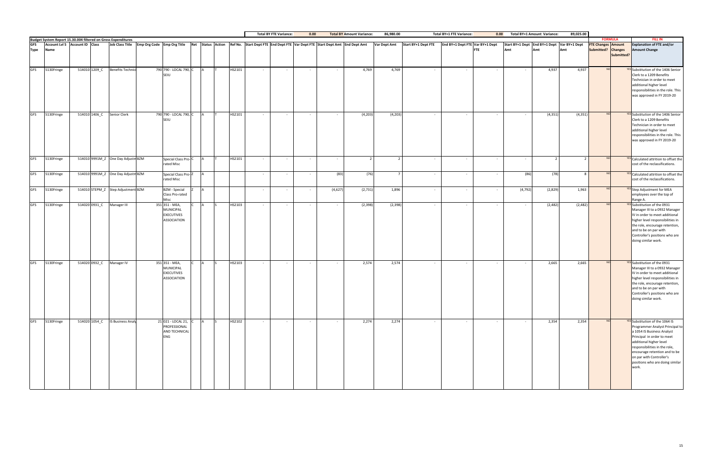|                           |            |                                |               |                                                               |                                                                                                                                           |  |        |            | <b>Total BY FTE Variance:</b> | 0.00       |         | <b>Total BY Amount Variance:</b> | 86,980.00           |            | <b>Total BY+1 FTE Variance:</b>                                   | 0.00   |          | Total BY+1 Amount Variance: | 89,025.00                                          |                                                 |                |                                                                                                                                                                                                                                                                                                            |
|---------------------------|------------|--------------------------------|---------------|---------------------------------------------------------------|-------------------------------------------------------------------------------------------------------------------------------------------|--|--------|------------|-------------------------------|------------|---------|----------------------------------|---------------------|------------|-------------------------------------------------------------------|--------|----------|-----------------------------|----------------------------------------------------|-------------------------------------------------|----------------|------------------------------------------------------------------------------------------------------------------------------------------------------------------------------------------------------------------------------------------------------------------------------------------------------------|
|                           |            |                                |               | Budget System Report 15.30.004 filtered on Gross Expenditures |                                                                                                                                           |  |        |            |                               |            |         |                                  |                     |            |                                                                   |        |          |                             |                                                    |                                                 | <b>FORMULA</b> | <b>FILL IN</b>                                                                                                                                                                                                                                                                                             |
| <b>GFS</b><br><b>Type</b> | Name       | Account Lvl 5 Account ID Class |               |                                                               | Job Class Title Emp Org Code Emp Org Title Ret Status Action Ref No. Start Dept FTE End Dept FTE Var Dept FTE Start Dept Amt End Dept Amt |  |        |            |                               |            |         |                                  | <b>Var Dept Amt</b> |            | Start BY+1 Dept FTE End BY+1 Dept FTE Var BY+1 Dept<br><b>FTE</b> | Amt    |          | Amt                         | Start BY+1 Dept End BY+1 Dept Var BY+1 Dept<br>Amt | <b>FTE Changes Amount</b><br>Submitted? Changes | Submitted?     | <b>Explanation of FTE and/or</b><br><b>Amount Change</b>                                                                                                                                                                                                                                                   |
| <b>GFS</b>                | 5130Fringe |                                | 514010 1209 C | <b>Benefits Technici</b>                                      | 790 790 - LOCAL 790, C<br>SEIU                                                                                                            |  | HS2101 |            | $\sim$ $-$                    | $\sim$     |         | 4,769                            | 4,769               | $\sim$     | $\sim$                                                            | $\sim$ |          | 4,937                       | 4,937                                              | N <sub>O</sub>                                  |                | YES Substitution of the 1406 Senior<br>Clerk to a 1209 Benefits                                                                                                                                                                                                                                            |
|                           |            |                                |               |                                                               |                                                                                                                                           |  |        |            |                               |            |         |                                  |                     |            |                                                                   |        |          |                             |                                                    |                                                 |                | Technician in order to meet<br>additional higher level<br>responsibilities in the role. This<br>was approved in FY 2019-20                                                                                                                                                                                 |
| <b>GFS</b>                | 5130Fringe |                                |               | 514010 1406_C Senior Clerk                                    | 790 790 - LOCAL 790, C<br>SEIL.                                                                                                           |  | HS2101 |            | $\sim$                        | $\sim$     |         | (4, 203)                         | (4, 203)            | $\sim$     |                                                                   |        |          | (4, 351)                    | (4, 351)                                           |                                                 |                | YES Substitution of the 1406 Senior<br>Clerk to a 1209 Benefits<br>Technician in order to meet<br>additional higher level<br>responsibilities in the role. This<br>was approved in FY 2019-20                                                                                                              |
| <b>GFS</b>                | 5130Fringe |                                |               | 514010 9991M_Z One Day Adjustm BZM                            | Special Class Pro-C<br>rated Misc                                                                                                         |  | HS2101 |            | $\sim$                        | $\sim$     | $\sim$  |                                  |                     | $\sim$     | $\sim$                                                            | $\sim$ |          | 2 <sup>1</sup>              | 2 <sup>1</sup>                                     | N <sub>O</sub>                                  |                | <b>YES</b> Calculated attrition to offset the<br>cost of the reclassifications.                                                                                                                                                                                                                            |
| <b>GFS</b>                | 5130Fringe |                                |               | 514010 9991M_Z One Day Adjustm BZM                            | Special Class Pro-Z<br>rated Misc                                                                                                         |  |        |            | $\sim$                        |            | (83)    | (76)                             |                     | $\sim$     | $\sim$                                                            | $\sim$ | (86)     | (78)                        | $\mathbf{R}$                                       | <b>NC</b>                                       |                | <b>YES</b> Calculated attrition to offset the<br>cost of the reclassifications.                                                                                                                                                                                                                            |
| <b>GFS</b>                | 5130Fringe |                                |               | 514010 STEPM Z Step Adjustment BZM                            | <b>BZM</b> - Special<br>Class Pro-rated<br>Misc                                                                                           |  |        | $\sim$ $-$ | $\sim$                        | $\sim$     | (4,627) | (2,731)                          | 1,896               | $\sim$     | $\sim$                                                            | $\sim$ | (4, 792) | (2,829)                     | 1,963                                              |                                                 |                | <b>YES</b> Step Adjustment for MEA<br>employees over the top of<br>Range A.                                                                                                                                                                                                                                |
| <b>GFS</b>                | 5130Fringe |                                |               | 514020 0931_C Manager III                                     | 351 351 - MEA,<br>MUNICIPAL<br><b>EXECUTIVES</b><br><b>ASSOCIATION</b>                                                                    |  | HS2103 |            | $\sim$                        | $\sim$     | $\sim$  | (2, 398)                         | (2, 398)            | $\sim$     |                                                                   | $\sim$ |          | (2,482)                     | (2,482)                                            |                                                 |                | YES Substitution of the 0931<br>Manager III to a 0932 Manager<br>IV in order to meet additional<br>higher level responsibilities in<br>the role, encourage retention,<br>and to be on par with<br>Controller's positions who are<br>doing similar work.                                                    |
| <b>GFS</b>                | 5130Fringe |                                | 514020 0932_C | Manager IV                                                    | 351 351 - MEA,<br>MUNICIPAL<br><b>EXECUTIVES</b><br><b>ASSOCIATION</b>                                                                    |  | HS2103 | $\sim$     | $\sim$                        | $\sim$     | $\sim$  | 2,574                            | 2,574               | $\sim$     | $\sim$                                                            | $\sim$ | $\sim$   | 2,665                       | 2,665                                              |                                                 |                | <b>YES</b> Substitution of the 0931<br>Manager III to a 0932 Manager<br>IV in order to meet additional<br>higher level responsibilities in<br>the role, encourage retention,<br>and to be on par with<br>Controller's positions who are<br>doing similar work.                                             |
| <b>GFS</b>                | 5130Fringe |                                |               | 514020 1054_C IS Business Analy                               | 21 021 - LOCAL 21, C<br>PROFESSIONAL<br>AND TECHNICAL<br><b>ENG</b>                                                                       |  | HS2102 | $\sim$ $-$ | $\sim$                        | $\sim$ $-$ | $\sim$  | 2,274                            | 2,274               | $\sim$ $-$ | $\sim$ $-$                                                        | $\sim$ | $\sim$   | 2,354                       | 2,354                                              |                                                 |                | <b>YES</b> Substitution of the 1064 IS<br>Programmer Analyst Principal to<br>a 1054 IS Business Analyst<br>Principal in order to meet<br>additional higher level<br>responsibilities in the role,<br>encourage retention and to be<br>on par with Controller's<br>positions who are doing similar<br>work. |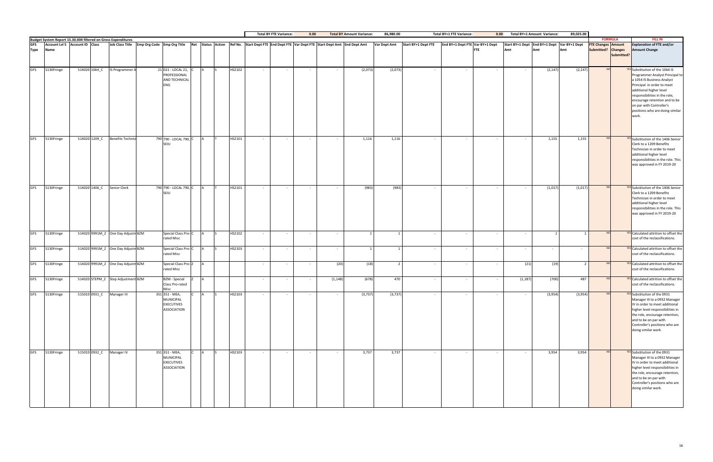|            |            |               |                                                                                                                     |                                                                                                                                           |               |          |               |        | <b>Total BY FTE Variance:</b> | 0.00             |            | <b>Total BY Amount Variance:</b> | 86,980.00           |                     | <b>Total BY+1 FTE Variance:</b> | 0.00       |          | <b>Total BY+1 Amount Variance:</b> | 89,025.00                                          |                                                 |            |                                                                                                                                                                                                                                                                                                            |
|------------|------------|---------------|---------------------------------------------------------------------------------------------------------------------|-------------------------------------------------------------------------------------------------------------------------------------------|---------------|----------|---------------|--------|-------------------------------|------------------|------------|----------------------------------|---------------------|---------------------|---------------------------------|------------|----------|------------------------------------|----------------------------------------------------|-------------------------------------------------|------------|------------------------------------------------------------------------------------------------------------------------------------------------------------------------------------------------------------------------------------------------------------------------------------------------------------|
|            |            |               | Budget System Report 15.30.004 filtered on Gross Expenditures<br>GFS Account LvI 5 Account ID Class Job Class Title |                                                                                                                                           |               |          |               |        |                               |                  |            |                                  |                     |                     |                                 |            |          |                                    |                                                    | <b>FORMULA</b>                                  |            | <b>FILL IN</b>                                                                                                                                                                                                                                                                                             |
| Type       | Name       |               |                                                                                                                     | Job Class Title Emp Org Code Emp Org Title Ret Status Action Ref No. Start Dept FTE End Dept FTE Var Dept FTE Start Dept Amt End Dept Amt |               |          |               |        |                               |                  |            |                                  | <b>Var Dept Amt</b> | Start BY+1 Dept FTE | End BY+1 Dept FTE Var BY+1 Dept | <b>FTE</b> | Amt      | Amt                                | Start BY+1 Dept End BY+1 Dept Var BY+1 Dept<br>Amt | <b>FTE Changes Amount</b><br>Submitted? Changes | Submitted? | <b>Explanation of FTE and/or</b><br><b>Amount Change</b>                                                                                                                                                                                                                                                   |
| <b>GFS</b> | 5130Fringe | 514020 1064_C | IS Programmer A                                                                                                     | 21 021 - LOCAL 21,<br>PROFESSIONAL<br><b>AND TECHNICAL</b><br>ENG                                                                         |               |          | HS2102        |        | $\sim$                        |                  |            | (2,073)                          | (2,073)             | $\sim$              |                                 |            |          | (2, 147)                           | (2, 147)                                           |                                                 |            | <b>YES</b> Substitution of the 1064 IS<br>Programmer Analyst Principal to<br>a 1054 IS Business Analyst<br>Principal in order to meet<br>additional higher level<br>responsibilities in the role,<br>encourage retention and to be<br>on par with Controller's<br>positions who are doing similar<br>work. |
| GFS        | 5130Fringe | 514020 1209_C | <b>Benefits Technici</b>                                                                                            | 790 790 - LOCAL 790, C                                                                                                                    |               |          | HS2101        | $\sim$ | $\sim$                        | $\sim$ $-$       | $\sim$ $-$ | 1,116                            | 1,116               | $\sim$ $-$          | $\sim$ $-$                      | $\sim$     |          | 1,155                              | 1,155                                              | N <sub>O</sub>                                  |            | YES Substitution of the 1406 Senior<br>Clerk to a 1209 Benefits<br>Technician in order to meet<br>additional higher level<br>responsibilities in the role. This<br>was approved in FY 2019-20                                                                                                              |
| <b>GFS</b> | 5130Fringe | 514020 1406_C | Senior Clerk                                                                                                        | 790 790 - LOCAL 790, C                                                                                                                    |               |          | HS2101        | $\sim$ | $\sim$                        | $\sim$ 100 $\pm$ | $\sim$ $-$ | (983)                            | (983)               | $\sim$ $-$          | $\sim$ $-$                      | $\sim$     |          | (1,017)                            | (1,017)                                            |                                                 |            | YES Substitution of the 1406 Senior<br>Clerk to a 1209 Benefits<br>Technician in order to meet<br>additional higher level<br>responsibilities in the role. This<br>was approved in FY 2019-20                                                                                                              |
| <b>GFS</b> | 5130Fringe |               | 514020 9991M_Z One Day Adjustm BZM                                                                                  | Special Class Pro-C<br>rated Misc                                                                                                         |               |          | HS2102        | $\sim$ | $\sim$                        | $\sim$ $-$       | $\sim$     |                                  |                     | $\sim$ $-$          | $\sim$                          | $\sim$     | $\sim$   |                                    |                                                    |                                                 |            | <b>YES</b> Calculated attrition to offset the<br>cost of the reclassifications.                                                                                                                                                                                                                            |
| GFS        | 5130Fringe |               | 514020 9991M_Z One Day Adjustm BZM                                                                                  | Special Class Pro-C<br>rated Misc                                                                                                         |               |          | HS2103        |        | $\sim$                        | $\sim$           |            |                                  |                     | $\sim$              |                                 | $\sim$     |          |                                    |                                                    |                                                 |            | <b>YES</b> Calculated attrition to offset the<br>cost of the reclassifications.                                                                                                                                                                                                                            |
| <b>GFS</b> | 5130Fringe |               | 514020 9991M_Z One Day Adjustm BZM                                                                                  | Special Class Pro-Z<br>rated Misc                                                                                                         |               |          |               | $\sim$ | $\sim$                        | $\sim$ $-$       | (20)       | (18)                             |                     | $\sim$ $-$          | $\sim$                          | $\sim$     | (21)     | (19)                               | $\overline{2}$                                     |                                                 |            | <b>YES</b> Calculated attrition to offset the<br>cost of the reclassifications.                                                                                                                                                                                                                            |
| <b>GFS</b> | 5130Fringe |               | 514020 STEPM_Z Step Adjustment BZM                                                                                  | <b>BZM</b> - Special<br>Class Pro-rated<br>Misc                                                                                           |               |          |               |        | $\sim$                        | $\sim$ $-$       | (1, 148)   | (678)                            | 470                 | $\sim$              | $\sim$                          | $\sim$     | (1, 187) | (700)                              | 487                                                |                                                 |            | <b>YES</b> Calculated attrition to offset the<br>cost of the reclassifications.                                                                                                                                                                                                                            |
| <b>GFS</b> | 5130Fringe |               | 515010 0931_C Manager III                                                                                           | 351 351 - MEA,<br><b>MUNICIPAL</b><br><b>EXECUTIVES</b><br><b>ASSOCIATION</b>                                                             | <sub>IC</sub> |          | HS2103        | $\sim$ | $\sim$                        | $\sim 100$       | $\sim$     | (3, 737)                         | (3,737)             | $\sim$              | $\sim$                          | $\sim$     |          | (3,954)                            | (3,954)                                            |                                                 |            | <b>YES</b> Substitution of the 0931<br>Manager III to a 0932 Manager<br>IV in order to meet additional<br>higher level responsibilities in<br>the role, encourage retention,<br>and to be on par with<br>Controller's positions who are<br>doing similar work.                                             |
| <b>GFS</b> | 5130Fringe |               | 515010 0932_C Manager IV                                                                                            | 351 351 - MEA,<br><b>MUNICIPAL</b><br><b>EXECUTIVES</b><br><b>ASSOCIATION</b>                                                             |               | <b>A</b> | HS2103<br>IS. | $\sim$ | $\sim$ $-$                    | $\sim$ $-$       | $\sim$     | 3,737                            | 3,737               | $\sim$ $-$          | $\sim$ $-$                      | $\sim$     |          | 3,954                              | 3,954                                              | N <sub>O</sub>                                  |            | <b>YES</b> Substitution of the 0931<br>Manager III to a 0932 Manager<br>IV in order to meet additional<br>higher level responsibilities in<br>the role, encourage retention,<br>and to be on par with<br>Controller's positions who are<br>doing similar work.                                             |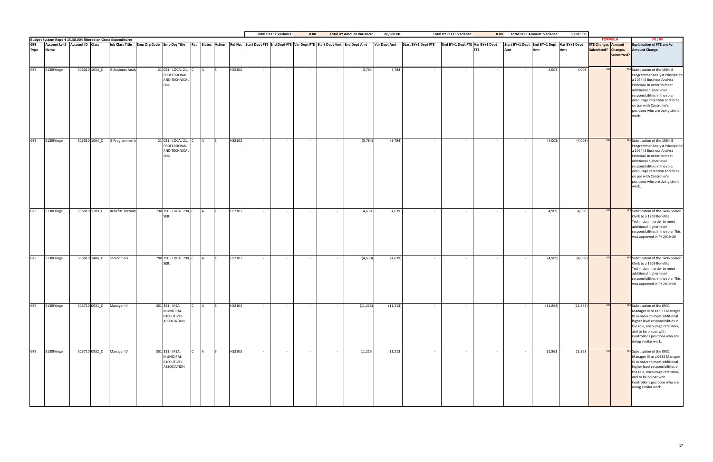|             |            |               |                                                                                                                     |                                                                                                                                           |  |        |            | <b>Total BY FTE Variance:</b> | 0.00            |                | <b>Total BY Amount Variance:</b> | 86,980.00           |                                                       | <b>Total BY+1 FTE Variance:</b> | 0.00       |        | Total BY+1 Amount Variance: | 89,025.00                                          |                                                 |                |                                                                                                                                                                                                                                                                                                            |
|-------------|------------|---------------|---------------------------------------------------------------------------------------------------------------------|-------------------------------------------------------------------------------------------------------------------------------------------|--|--------|------------|-------------------------------|-----------------|----------------|----------------------------------|---------------------|-------------------------------------------------------|---------------------------------|------------|--------|-----------------------------|----------------------------------------------------|-------------------------------------------------|----------------|------------------------------------------------------------------------------------------------------------------------------------------------------------------------------------------------------------------------------------------------------------------------------------------------------------|
|             |            |               | Budget System Report 15.30.004 filtered on Gross Expenditures<br>GFS Account LvI 5 Account ID Class Job Class Title |                                                                                                                                           |  |        |            |                               |                 |                |                                  |                     |                                                       |                                 |            |        |                             |                                                    |                                                 | <b>FORMULA</b> | <b>FILL IN</b>                                                                                                                                                                                                                                                                                             |
| <b>Type</b> | Name       |               |                                                                                                                     | Job Class Title Emp Org Code Emp Org Title Ret Status Action Ref No. Start Dept FTE End Dept FTE Var Dept FTE Start Dept Amt End Dept Amt |  |        |            |                               |                 |                |                                  | <b>Var Dept Amt</b> | Start BY+1 Dept FTE   End BY+1 Dept FTE Var BY+1 Dept |                                 | <b>FTE</b> | Amt    | Amt                         | Start BY+1 Dept End BY+1 Dept Var BY+1 Dept<br>Amt | <b>FTE Changes Amount</b><br>Submitted? Changes | Submitted?     | <b>Explanation of FTE and/or</b><br><b>Amount Change</b>                                                                                                                                                                                                                                                   |
| <b>GFS</b>  | 5130Fringe | 515010 1054_C | IS Business Analy                                                                                                   | 21 021 - LOCAL 21, C<br>PROFESSIONAL<br>AND TECHNICAL<br>ENG                                                                              |  | HS2102 |            | $\sim$                        |                 |                | 3,784                            | 3,784               | $\sim$                                                |                                 |            |        | 4,003                       | 4,003                                              |                                                 |                | <b>YES</b> Substitution of the 1064 IS<br>Programmer Analyst Principal to<br>a 1054 IS Business Analyst<br>Principal in order to meet<br>additional higher level<br>responsibilities in the role,<br>encourage retention and to be<br>on par with Controller's<br>positions who are doing similar<br>work. |
| <b>GFS</b>  | 5130Fringe |               | 515010 1064_C IS Programmer A                                                                                       | 21 021 - LOCAL 21,<br>PROFESSIONAL<br><b>AND TECHNICAL</b><br>ENG                                                                         |  | HS2102 | $\sim$ $-$ | $\sim$                        | $\sim$ $-$      | $\sim$         | (3, 784)                         | (3,784)             | $\sim$ $-$                                            | $\sim$ $-$                      | $\sim$     | $\sim$ | (4,003)                     | (4,003)                                            | N <sub>O</sub>                                  |                | <b>YES</b> Substitution of the 1064 IS<br>Programmer Analyst Principal to<br>a 1054 IS Business Analyst<br>Principal in order to meet<br>additional higher level<br>responsibilities in the role,<br>encourage retention and to be<br>on par with Controller's<br>positions who are doing similar<br>work. |
| <b>GFS</b>  | 5130Fringe | 515010 1209_C | <b>Benefits Technici</b>                                                                                            | 790 790 - LOCAL 790, C<br>SEIU                                                                                                            |  | HS2101 | $\sim$ $-$ | $\sim$ $-$                    | $\sim 100$      | $\sim$         | 4,639                            | 4,639               | $\sim$ $-$                                            | $\sim$ $-$                      | $\sim$     | $\sim$ | 4,909                       | 4,909                                              |                                                 |                | <b>YES</b> Substitution of the 1406 Senior<br>Clerk to a 1209 Benefits<br>Technician in order to meet<br>additional higher level<br>responsibilities in the role. This<br>was approved in FY 2019-20                                                                                                       |
| <b>GFS</b>  | 5130Fringe |               | 515010 1406_C Senior Clerk                                                                                          | 790 790 - LOCAL 790, C                                                                                                                    |  | HS2101 |            | $\sim$                        | $\sim$ $-$      | $\sim$         | (4,639)                          | (4,639)             | $\sim$                                                | $\sim$                          | $\sim$     |        | (4,909)                     | (4,909)                                            | <b>NO</b>                                       |                | <b>YES</b> Substitution of the 1406 Senior<br>Clerk to a 1209 Benefits<br>Technician in order to meet<br>additional higher level<br>responsibilities in the role. This<br>was approved in FY 2019-20                                                                                                       |
| <b>GFS</b>  | 5130Fringe |               | 515710 0931_C Manager III                                                                                           | 351 351 - MEA,<br>MUNICIPAL<br><b>EXECUTIVES</b><br><b>ASSOCIATION</b>                                                                    |  | HS2103 | $\sim$     | $\sim$ $-$                    | $\sim 100$      | $\sim 10^{-1}$ | (11, 213)                        | (11, 213)           | $\sim$ $-$                                            | $\sim$ $-$                      | $\sim$     | $\sim$ | (11, 863)                   | (11, 863)                                          | <b>NO</b>                                       |                | <b>YES</b> Substitution of the 0931<br>Manager III to a 0932 Manager<br>IV in order to meet additional<br>higher level responsibilities in<br>the role, encourage retention,<br>and to be on par with<br>Controller's positions who are<br>doing similar work.                                             |
| <b>GFS</b>  | 5130Fringe |               | 515710 0932_C Manager IV                                                                                            | 351 351 - MEA,<br><b>MUNICIPAL</b><br><b>EXECUTIVES</b><br><b>ASSOCIATION</b>                                                             |  | HS2103 | $\sim$     | $\sim$                        | $\sim 10^{-11}$ | $\sim$         | 11,213                           | 11,213              | $\sim$ $-$                                            | $\sim$ $-$                      | $\sim$ $-$ |        | 11,863                      | 11,863                                             | N <sub>O</sub>                                  |                | <b>YES</b> Substitution of the 0931<br>Manager III to a 0932 Manager<br>IV in order to meet additional<br>higher level responsibilities in<br>the role, encourage retention,<br>and to be on par with<br>Controller's positions who are<br>doing similar work.                                             |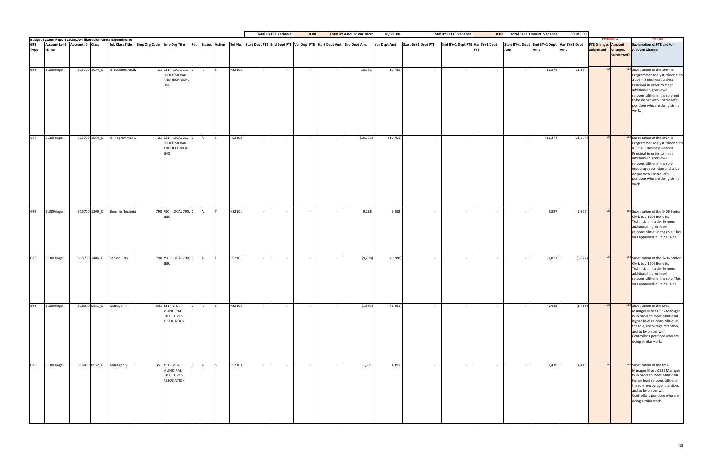|            |            |               |                                                                                                                             |                                                                                                                                           |           |        |        | <b>Total BY FTE Variance:</b> | 0.00       |        | <b>Total BY Amount Variance:</b> | 86,980.00    |                     | <b>Total BY+1 FTE Variance:</b> | 0.00       |        | Total BY+1 Amount Variance: | 89,025.00                                   |                           |                |                                                                                                                                                                                                                                                                                                            |
|------------|------------|---------------|-----------------------------------------------------------------------------------------------------------------------------|-------------------------------------------------------------------------------------------------------------------------------------------|-----------|--------|--------|-------------------------------|------------|--------|----------------------------------|--------------|---------------------|---------------------------------|------------|--------|-----------------------------|---------------------------------------------|---------------------------|----------------|------------------------------------------------------------------------------------------------------------------------------------------------------------------------------------------------------------------------------------------------------------------------------------------------------------|
|            |            |               | <b>Budget System Report 15.30.004 filtered on Gross Expenditures<br/>GFS</b> Account LvI 5 Account ID Class Job Class Title | Job Class Title Emp Org Code Emp Org Title Ret Status Action Ref No. Start Dept FTE End Dept FTE Var Dept FTE Start Dept Amt End Dept Amt |           |        |        |                               |            |        |                                  | Var Dept Amt | Start BY+1 Dept FTE | End BY+1 Dept FTE Var BY+1 Dept |            |        |                             | Start BY+1 Dept End BY+1 Dept Var BY+1 Dept | <b>FTE Changes Amount</b> | <b>FORMULA</b> | <b>FILL IN</b><br><b>Explanation of FTE and/or</b>                                                                                                                                                                                                                                                         |
| Type       | Name       |               |                                                                                                                             |                                                                                                                                           |           |        |        |                               |            |        |                                  |              |                     |                                 | <b>FTE</b> | Amt    | Amt                         | Amt                                         | Submitted? Changes        | Submitted?     | <b>Amount Change</b>                                                                                                                                                                                                                                                                                       |
| <b>GFS</b> | 5130Fringe |               | 515710 1054_C IS Business Analy                                                                                             | 21 021 - LOCAL 21, C<br>PROFESSIONAL<br>AND TECHNICAL<br><b>ENG</b>                                                                       |           | HS2102 |        | $\sim$                        |            |        | 10,751                           | 10,751       | $\sim$              | $\sim$                          |            |        | 11,374                      | 11,374                                      | N <sub>O</sub>            |                | <b>YES</b> Substitution of the 1064 IS<br>Programmer Analyst Principal to<br>a 1054 IS Business Analyst<br>Principal in order to meet<br>additional higher level<br>responsibilities in the role and<br>to be on par with Controller's<br>positions who are doing similar<br>work.                         |
| <b>GFS</b> | 5130Fringe |               | 515710 1064_C IS Programmer A                                                                                               | 21 021 - LOCAL 21, C<br>PROFESSIONAL<br>AND TECHNICAL<br>ENG                                                                              |           | HS2102 | $\sim$ | $\sim$ $-$                    | $\sim$ $-$ | $\sim$ | (10, 751)                        | (10, 751)    | $\sim$ $-$          | $\sim$                          | $\sim$     |        | (11, 374)                   | (11, 374)                                   | N <sub>O</sub>            |                | <b>YES</b> Substitution of the 1064 IS<br>Programmer Analyst Principal to<br>a 1054 IS Business Analyst<br>Principal in order to meet<br>additional higher level<br>responsibilities in the role,<br>encourage retention and to be<br>on par with Controller's<br>positions who are doing similar<br>work. |
| <b>GFS</b> | 5130Fringe | 515710 1209_C | <b>Benefits Technici</b>                                                                                                    | 790 790 - LOCAL 790, C<br>SEIU                                                                                                            |           | HS2101 | $\sim$ | $\sim$ $-$                    | $\sim 100$ | $\sim$ | 9,288                            | 9,288        | $\sim$ $-$          | $\sim$                          | $\sim$     | $\sim$ | 9,827                       | 9,827                                       |                           |                | <b>YES</b> Substitution of the 1406 Senior<br>Clerk to a 1209 Benefits<br>Technician in order to meet<br>additional higher level<br>responsibilities in the role. This<br>was approved in FY 2019-20                                                                                                       |
| <b>GFS</b> | 5130Fringe |               | 515710 1406_C Senior Clerk                                                                                                  | 790 790 - LOCAL 790, C                                                                                                                    | <b>IA</b> | HS2101 |        | $\sim$                        | $\sim$ $-$ |        | (9, 288)                         | (9, 288)     | $\sim$ $-$          | $\sim$                          | $\sim$     |        | (9,827)                     | (9,827)                                     | N <sub>O</sub>            |                | <b>YES</b> Substitution of the 1406 Senior<br>Clerk to a 1209 Benefits<br>Technician in order to meet<br>additional higher level<br>responsibilities in the role. This<br>was approved in FY 2019-20                                                                                                       |
| <b>GFS</b> | 5130Fringe |               | 516010 0931_C Manager III                                                                                                   | 351 351 - MEA,<br><b>MUNICIPAL</b><br><b>EXECUTIVES</b><br><b>ASSOCIATION</b>                                                             |           | HS2103 | $\sim$ | $\sim$                        | $\sim$ $-$ | $\sim$ | (1, 391)                         | (1, 391)     | $\sim$              | $\sim$                          | $\sim$     |        | (1, 419)                    | (1, 419)                                    | <b>NO</b>                 |                | YES Substitution of the 0931<br>Manager III to a 0932 Manager<br>IV in order to meet additional<br>higher level responsibilities in<br>the role, encourage retention,<br>and to be on par with<br>Controller's positions who are<br>doing similar work.                                                    |
| <b>GFS</b> | 5130Fringe |               | 516010 0932 C Manager IV                                                                                                    | 351 351 - MEA,<br><b>MUNICIPAL</b><br><b>EXECUTIVES</b><br><b>ASSOCIATION</b>                                                             |           | HS2103 | $\sim$ | $\sim$                        | $\sim$     | $\sim$ | 1,391                            | 1,391        | $\sim$              | $\sim$                          | $\sim$     | $\sim$ | 1,419                       | 1,419                                       | <b>NO</b>                 |                | YES Substitution of the 0931<br>Manager III to a 0932 Manager<br>IV in order to meet additional<br>higher level responsibilities in<br>the role, encourage retention,<br>and to be on par with<br>Controller's positions who are<br>doing similar work.                                                    |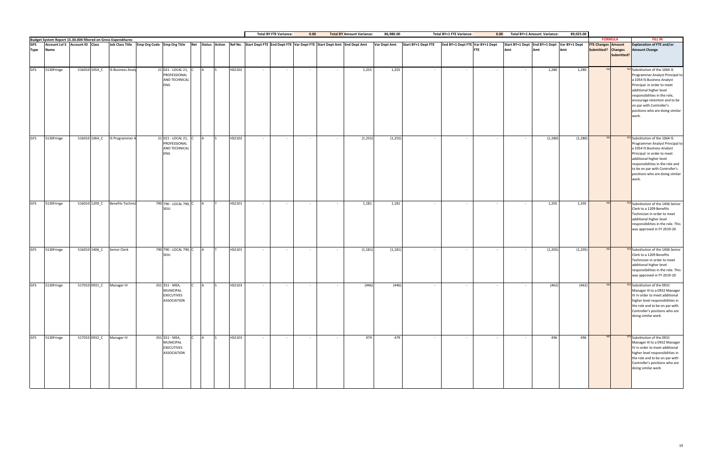|             |             |                                                                                                                             |                         |                                                                 |   |        |                | <b>Total BY FTE Variance:</b> | 0.00       |                                                                                                                                           | <b>Total BY Amount Variance:</b> | 86,980.00           |                     | <b>Total BY+1 FTE Variance:</b> | 0.00       |        | <b>Total BY+1 Amount Variance:</b> | 89,025.00                                          |                                                 |                |                                                                                                                                                                                                                                                                                                            |
|-------------|-------------|-----------------------------------------------------------------------------------------------------------------------------|-------------------------|-----------------------------------------------------------------|---|--------|----------------|-------------------------------|------------|-------------------------------------------------------------------------------------------------------------------------------------------|----------------------------------|---------------------|---------------------|---------------------------------|------------|--------|------------------------------------|----------------------------------------------------|-------------------------------------------------|----------------|------------------------------------------------------------------------------------------------------------------------------------------------------------------------------------------------------------------------------------------------------------------------------------------------------------|
|             |             | <b>Budget System Report 15.30.004 filtered on Gross Expenditures<br/>GFS</b> Account LvI 5 Account ID Class Job Class Title |                         |                                                                 |   |        |                |                               |            |                                                                                                                                           |                                  |                     |                     |                                 |            |        |                                    |                                                    |                                                 | <b>FORMULA</b> | <b>FILL IN</b>                                                                                                                                                                                                                                                                                             |
| <b>Type</b> | <b>Name</b> |                                                                                                                             |                         |                                                                 |   |        |                |                               |            | Job Class Title Emp Org Code Emp Org Title Ret Status Action Ref No. Start Dept FTE End Dept FTE Var Dept FTE Start Dept Amt End Dept Amt |                                  | <b>Var Dept Amt</b> | Start BY+1 Dept FTE | End BY+1 Dept FTE Var BY+1 Dept | <b>FTE</b> | Amt    | Amt                                | Start BY+1 Dept End BY+1 Dept Var BY+1 Dept<br>Amt | <b>FTE Changes Amount</b><br>Submitted? Changes | Submitted?     | <b>Explanation of FTE and/or</b><br><b>Amount Change</b>                                                                                                                                                                                                                                                   |
| <b>GFS</b>  | 5130Fringe  | 516010 1054_C IS Business Analy                                                                                             |                         | 21 021 - LOCAL 21,<br>PROFESSIONAL<br>AND TECHNICAL<br>ENG      |   | HS2102 |                |                               |            |                                                                                                                                           | 1,255                            | 1,255               | $\sim$              |                                 |            |        | 1,280                              | 1,280                                              |                                                 |                | <b>YES</b> Substitution of the 1064 IS<br>Programmer Analyst Principal to<br>a 1054 IS Business Analyst<br>Principal in order to meet<br>additional higher level<br>responsibilities in the role,<br>encourage retention and to be<br>on par with Controller's<br>positions who are doing similar<br>work. |
| <b>GFS</b>  | 5130Fringe  | 516010 1064_C IS Programmer A                                                                                               |                         | 21 021 - LOCAL 21,<br>PROFESSIONAL<br>AND TECHNICAL<br>ENG      |   | HS2102 |                | $\sim$                        | $\sim$ $-$ |                                                                                                                                           | (1, 255)                         | (1, 255)            | $\sim$ $-$          | $\sim$                          | $\sim$     |        | (1, 280)                           | (1, 280)                                           | <b>NO</b>                                       |                | <b>YES</b> Substitution of the 1064 IS<br>Programmer Analyst Principal to<br>a 1054 IS Business Analyst<br>Principal in order to meet<br>additional higher level<br>responsibilities in the role and<br>to be on par with Controller's<br>positions who are doing similar<br>work.                         |
| <b>GFS</b>  | 5130Fringe  | 516010 1209_C                                                                                                               | <b>Benefits Technic</b> | 790 790 - LOCAL 790, C<br>SEIU                                  |   | HS2101 | $\sim$ $-$     | $\sim$                        | $\sim$ $-$ | $\sim$                                                                                                                                    | 1,181                            | 1,181               | $\sim$              | $\sim$                          | $\sim$     | $\sim$ | 1,205                              | 1,205                                              |                                                 |                | YES Substitution of the 1406 Senior<br>Clerk to a 1209 Benefits<br>Technician in order to meet<br>additional higher level<br>responsibilities in the role. This<br>was approved in FY 2019-20                                                                                                              |
| <b>GFS</b>  | 5130Fringe  | 516010 1406_C                                                                                                               | Senior Clerk            | 790 790 - LOCAL 790, C<br>SEILI                                 |   | HS2101 |                | $\sim$                        | $\sim$ $-$ |                                                                                                                                           | (1, 181)                         | (1, 181)            | $\sim$              | $\sim$                          | $\sim$     |        | (1, 205)                           | (1, 205)                                           |                                                 |                | <b>YES</b> Substitution of the 1406 Senior<br>Clerk to a 1209 Benefits<br>Technician in order to meet<br>additional higher level<br>responsibilities in the role. This<br>was approved in FY 2019-20                                                                                                       |
| <b>GFS</b>  | 5130Fringe  | 517010 0931_C                                                                                                               | Manager III             | 351 351 - MEA,<br><b>MUNICIPAL</b><br>EXECUTIVES<br>ASSOCIATION |   | HS2103 |                | $\sim$                        |            |                                                                                                                                           | (446)                            | (446)               | $\sim$ $-$          |                                 |            |        | (462)                              | (462)                                              |                                                 |                | YES Substitution of the 0931<br>Manager III to a 0932 Manager<br>IV in order to meet additional<br>higher level responsibilities in<br>the role and to be on par with<br>Controller's positions who are<br>doing similar work.                                                                             |
| <b>GFS</b>  | 5130Fringe  | 517010 0932_C Manager IV                                                                                                    |                         | 351 351 - MEA,<br>MUNICIPAL<br><b>EXECUTIVES</b><br>ASSOCIATION | A | HS2103 | $\sim 10^{-1}$ | $\sim 10^{-1}$                | $\sim$ $-$ | $\sim$                                                                                                                                    | 479                              | 479                 | $\sim$ $-$          | $\sim$                          | $\sim$     | $\sim$ | 496                                | 496                                                | N <sub>O</sub>                                  |                | <b>YES</b> Substitution of the 0931<br>Manager III to a 0932 Manager<br>IV in order to meet additional<br>higher level responsibilities in<br>the role and to be on par with<br>Controller's positions who are<br>doing similar work.                                                                      |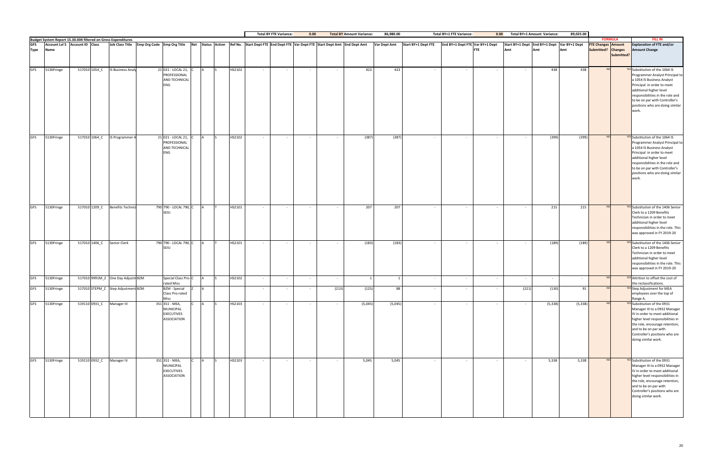|             |            |                                |               |                                                               |                                                                                                                                           |        |        | <b>Total BY FTE Variance:</b> | 0.00   |            | <b>Total BY Amount Variance:</b> | 86,980.00      |            | <b>Total BY+1 FTE Variance:</b>                       | 0.00                     |                                             | Total BY+1 Amount Variance: | 89,025.00 |                                             |            |                                                                                                                                                                                                                                                                                    |
|-------------|------------|--------------------------------|---------------|---------------------------------------------------------------|-------------------------------------------------------------------------------------------------------------------------------------------|--------|--------|-------------------------------|--------|------------|----------------------------------|----------------|------------|-------------------------------------------------------|--------------------------|---------------------------------------------|-----------------------------|-----------|---------------------------------------------|------------|------------------------------------------------------------------------------------------------------------------------------------------------------------------------------------------------------------------------------------------------------------------------------------|
| <b>GFS</b>  |            | Account Lvl 5 Account ID Class |               | Budget System Report 15.30.004 filtered on Gross Expenditures | Job Class Title Emp Org Code Emp Org Title Ret Status Action Ref No. Start Dept FTE End Dept FTE Var Dept FTE Start Dept Amt End Dept Amt |        |        |                               |        |            |                                  | Var Dept Amt   |            | Start BY+1 Dept FTE   End BY+1 Dept FTE Var BY+1 Dept |                          | Start BY+1 Dept End BY+1 Dept Var BY+1 Dept |                             |           | <b>FORMULA</b><br><b>FTE Changes Amount</b> |            | <b>FILL IN</b><br><b>Explanation of FTE and/or</b>                                                                                                                                                                                                                                 |
| <b>Type</b> | Name       |                                |               |                                                               |                                                                                                                                           |        |        |                               |        |            |                                  |                |            | <b>FTE</b>                                            |                          | Amt                                         | Amt                         | Amt       | Submitted? Changes                          | Submitted? | <b>Amount Change</b>                                                                                                                                                                                                                                                               |
| <b>GFS</b>  | 5130Fringe |                                | 517010 1054_C | <b>IS Business Analy</b>                                      | 21 021 - LOCAL 21, C<br>PROFESSIONAL<br>AND TECHNICAL<br><b>ENG</b>                                                                       | HS2102 |        | $\sim$                        |        |            | 423                              | 423            | $\sim$     |                                                       |                          |                                             | 438                         | 438       |                                             |            | <b>YES</b> Substitution of the 1064 IS<br>Programmer Analyst Principal to<br>a 1054 IS Business Analyst<br>Principal in order to meet<br>additional higher level<br>responsibilities in the role and<br>to be on par with Controller's<br>positions who are doing similar<br>work. |
| <b>GFS</b>  | 5130Fringe |                                |               | 517010 1064_C IS Programmer A                                 | 21 021 - LOCAL 21,<br>PROFESSIONAL<br>AND TECHNICAL<br><b>ENG</b>                                                                         | HS2102 | $\sim$ | $\sim$                        | $\sim$ | $\sim$ $-$ | (387)                            | (387)          | $\sim$     | $\sim$                                                | $\sim$                   |                                             | (399)                       | (399)     |                                             |            | <b>YES</b> Substitution of the 1064 IS<br>Programmer Analyst Principal to<br>a 1054 IS Business Analyst<br>Principal in order to meet<br>additional higher level<br>responsibilities in the role and<br>to be on par with Controller's<br>positions who are doing similar<br>work. |
| <b>GFS</b>  | 5130Fringe |                                |               | 517010 1209_C Benefits Technici                               | 790 790 - LOCAL 790, C<br>SEIU                                                                                                            | HS2101 | $\sim$ | $\sim$                        | $\sim$ | $\sim$     | 207                              | 207            | $\sim$     | $\sim$                                                | $\sim$                   |                                             | 215                         | 215       |                                             |            | YES Substitution of the 1406 Senior<br>Clerk to a 1209 Benefits<br>Technician in order to meet<br>additional higher level<br>responsibilities in the role. This<br>was approved in FY 2019-20                                                                                      |
| <b>GFS</b>  | 5130Fringe |                                | 517010 1406_C | Senior Clerk                                                  | 790 790 - LOCAL 790, C<br>SEIU                                                                                                            | HS2101 |        | $\sim$                        | $\sim$ | $\sim$     | (183)                            | (183)          | $\sim$ $-$ | $\sim$                                                | $\overline{\phantom{a}}$ |                                             | (189)                       | (189)     | N <sub>C</sub>                              |            | YES Substitution of the 1406 Senior<br>Clerk to a 1209 Benefits<br>Technician in order to meet<br>additional higher level<br>responsibilities in the role. This<br>was approved in FY 2019-20                                                                                      |
| <b>GFS</b>  | 5130Fringe |                                |               | 517010 9991M_Z One Day Adjustm BZM                            | Special Class Pro-C<br>rated Misc                                                                                                         | HS2102 |        | $\sim$                        | $\sim$ |            |                                  | $\overline{1}$ | $\sim$     | $\sim$                                                |                          |                                             | $\sim$                      |           |                                             |            | YES Attrition to offset the cost of<br>the reclassifications.                                                                                                                                                                                                                      |
| <b>GFS</b>  | 5130Fringe |                                |               | 517010 STEPM_Z Step Adjustment BZM                            | <b>BZM</b> - Special<br>Class Pro-rated<br>Misc                                                                                           |        |        | $\overline{\phantom{a}}$      |        | (213)      | (125)                            | 88             | $\sim$ $-$ |                                                       | $\overline{\phantom{a}}$ | (221)                                       | (130)                       | 91        |                                             |            | <b>YES</b> Step Adjustment for MEA<br>employees over the top of<br>Range A.                                                                                                                                                                                                        |
| GFS         | 5130Fringe |                                |               | 519110 0931 C Manager III                                     | 351 351 - MEA,<br><b>MUNICIPAL</b><br><b>EXECUTIVES</b><br><b>ASSOCIATION</b>                                                             | HS2103 | $\sim$ | $\sim$                        | $\sim$ | $\sim$     | (5,045)                          | (5,045)        | $\sim$     | $\sim$                                                | $\sim$                   |                                             | (5, 338)                    | (5, 338)  | <b>NO</b>                                   |            | <b>YES</b> Substitution of the 0931<br>Manager III to a 0932 Manager<br>IV in order to meet additional<br>higher level responsibilities in<br>the role, encourage retention,<br>and to be on par with<br>Controller's positions who are<br>doing similar work.                     |
| <b>GFS</b>  | 5130Fringe |                                | 519110 0932_C | Manager IV                                                    | 351 351 - MEA,<br><b>MUNICIPAL</b><br><b>EXECUTIVES</b><br>ASSOCIATION                                                                    | HS2103 | $\sim$ | $\sim$                        | $\sim$ | $\sim$     | 5,045                            | 5,045          | $\sim$ $-$ | $\sim$ $-$                                            | $\sim$                   |                                             | 5,338                       | 5,338     | <b>NO</b>                                   |            | <b>YES</b> Substitution of the 0931<br>Manager III to a 0932 Manager<br>IV in order to meet additional<br>higher level responsibilities in<br>the role, encourage retention,<br>and to be on par with<br>Controller's positions who are<br>doing similar work.                     |